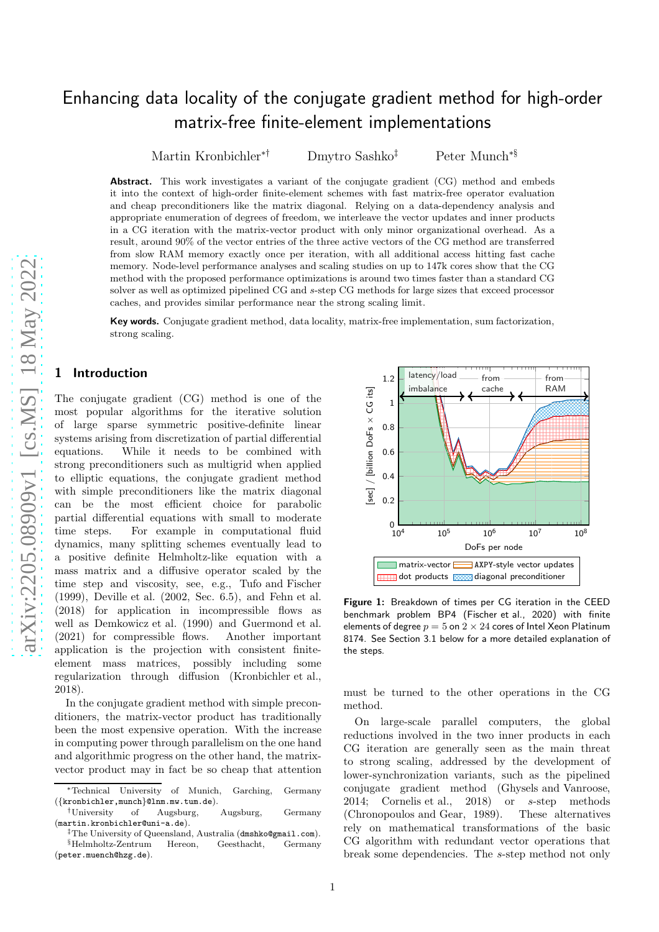# Enhancing data locality of the conjugate gradient method for high-order matrix-free finite-element implementations

Martin Kronbichler∗† Dmytro Sashko Peter Munch<sup>∗§</sup>

Abstract. This work investigates a variant of the conjugate gradient (CG) method and embeds it into the context of high-order finite-element schemes with fast matrix-free operator evaluation and cheap preconditioners like the matrix diagonal. Relying on a data-dependency analysis and appropriate enumeration of degrees of freedom, we interleave the vector updates and inner products in a CG iteration with the matrix-vector product with only minor organizational overhead. As a result, around 90% of the vector entries of the three active vectors of the CG method are transferred from slow RAM memory exactly once per iteration, with all additional access hitting fast cache memory. Node-level performance analyses and scaling studies on up to 147k cores show that the CG method with the proposed performance optimizations is around two times faster than a standard CG solver as well as optimized pipelined CG and s-step CG methods for large sizes that exceed processor caches, and provides similar performance near the strong scaling limit.

Key words. Conjugate gradient method, data locality, matrix-free implementation, sum factorization, strong scaling.

### 1 Introduction

The conjugate gradient (CG) method is one of the most popular algorithms for the iterative solution of large sparse symmetric positive-definite linear systems arising from discretization of partial differential equations. While it needs to be combined with strong preconditioners such as multigrid when applied to elliptic equations, the conjugate gradient method with simple preconditioners like the matrix diagonal can be the most efficient choice for parabolic partial differential equations with small to moderate time steps. For example in computational fluid dynamics, many splitting schemes eventually lead to a positive definite Helmholtz-like equation with a mass matrix and a diffusive operator scaled by the time step and viscosity, see, e.g., [Tufo and Fischer](#page-18-0) [\(1999](#page-18-0)), [Deville et al. \(2002,](#page-17-0) Sec. 6.5), and [Fehn et al.](#page-17-1) [\(2018](#page-17-1)) for application in incompressible flows as well as [Demkowicz et al. \(1990\)](#page-17-2) and [Guermond et al.](#page-17-3) [\(2021](#page-17-3)) for compressible flows. Another important application is the projection with consistent finiteelement mass matrices, possibly including some regularization through diffusion [\(Kronbichler et al.,](#page-17-4) [2018](#page-17-4)).

In the conjugate gradient method with simple preconditioners, the matrix-vector product has traditionally been the most expensive operation. With the increase in computing power through parallelism on the one hand and algorithmic progress on the other hand, the matrixvector product may in fact be so cheap that attention

<span id="page-0-0"></span>

Figure 1: Breakdown of times per CG iteration in the CEED benchmark problem BP4 [\(Fischer et al., 2020\)](#page-17-5) with finite elements of degree  $p=5$  on  $\overline{2}\times 24$  cores of Intel Xeon Platinum 8174. See Section [3.1](#page-4-0) below for a more detailed explanation o f the steps.

must be turned to the other operations in the CG method.

On large-scale parallel computers, the global reductions involved in the two inner products in each CG iteration are generally seen as the main threat to strong scaling, addressed by the development of lower-synchronization variants, such as the pipelined conjugate gradient method [\(Ghysels and Vanroose,](#page-17-6) [2014](#page-17-6); [Cornelis et al., 2018](#page-17-7)) or  $s$ -step methods [\(Chronopoulos and Gear, 1989\)](#page-17-8). These alternatives rely on mathematical transformations of the basic CG algorithm with redundant vector operations that break some dependencies. The s-step method not only

<sup>∗</sup>Technical University of Munich, Garching, Germany  $({\{kronbichler, munch}\}@Inm.mw.tum.de).$ <br>  $\dagger$ University of Augsburg

<sup>†</sup>University of Augsburg, Augsburg, Germany (martin.kronbichler@uni-a.de).

<sup>‡</sup>The University of Queensland, Australia (dmshko@gmail.com). §Helmholtz-Zentrum Hereon, Geesthacht, Germany (peter.muench@hzg.de).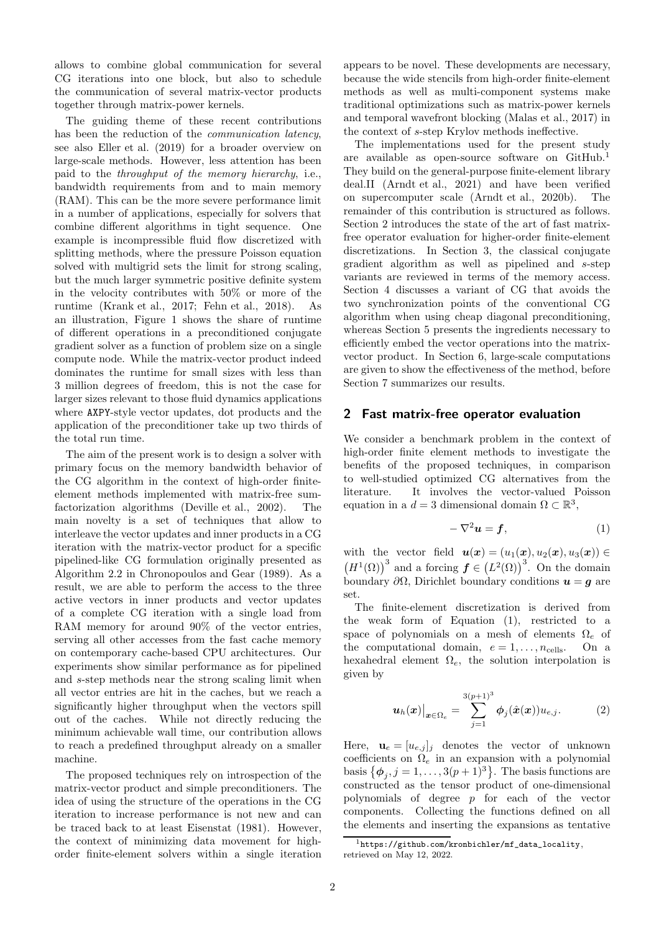allows to combine global communication for several CG iterations into one block, but also to schedule the communication of several matrix-vector products together through matrix-power kernels.

The guiding theme of these recent contributions has been the reduction of the *communication latency*, see also [Eller et al. \(2019\)](#page-17-9) for a broader overview on large-scale methods. However, less attention has been paid to the *throughput of the memory hierarchy*, i.e., bandwidth requirements from and to main memory (RAM). This can be the more severe performance limit in a number of applications, especially for solvers that combine different algorithms in tight sequence. One example is incompressible fluid flow discretized with splitting methods, where the pressure Poisson equation solved with multigrid sets the limit for strong scaling, but the much larger symmetric positive definite system in the velocity contributes with 50% or more of the runtime [\(Krank et al.](#page-17-10), [2017](#page-17-10); [Fehn et al., 2018\)](#page-17-1). As an illustration, Figure [1](#page-0-0) shows the share of runtime of different operations in a preconditioned conjugate gradient solver as a function of problem size on a single compute node. While the matrix-vector product indeed dominates the runtime for small sizes with less than 3 million degrees of freedom, this is not the case for larger sizes relevant to those fluid dynamics applications where AXPY-style vector updates, dot products and the application of the preconditioner take up two thirds of the total run time.

The aim of the present work is to design a solver with primary focus on the memory bandwidth behavior of the CG algorithm in the context of high-order finiteelement methods implemented with matrix-free sumfactorization algorithms [\(Deville et al., 2002\)](#page-17-0). The main novelty is a set of techniques that allow to interleave the vector updates and inner products in a CG iteration with the matrix-vector product for a specific pipelined-like CG formulation originally presented as Algorithm 2.2 in [Chronopoulos and Gear \(1989\)](#page-17-8). As a result, we are able to perform the access to the three active vectors in inner products and vector updates of a complete CG iteration with a single load from RAM memory for around 90% of the vector entries, serving all other accesses from the fast cache memory on contemporary cache-based CPU architectures. Our experiments show similar performance as for pipelined and s-step methods near the strong scaling limit when all vector entries are hit in the caches, but we reach a significantly higher throughput when the vectors spill out of the caches. While not directly reducing the minimum achievable wall time, our contribution allows to reach a predefined throughput already on a smaller machine.

The proposed techniques rely on introspection of the matrix-vector product and simple preconditioners. The idea of using the structure of the operations in the CG iteration to increase performance is not new and can be traced back to at least [Eisenstat \(1981](#page-17-11)). However, the context of minimizing data movement for highorder finite-element solvers within a single iteration appears to be novel. These developments are necessary, because the wide stencils from high-order finite-element methods as well as multi-component systems make traditional optimizations such as matrix-power kernels and temporal wavefront blocking [\(Malas et al.](#page-17-12), [2017\)](#page-17-12) in the context of s-step Krylov methods ineffective.

The implementations used for the present study are available as open-source software on GitHub.[1](#page-1-0) They build on the general-purpose finite-element library deal.II [\(Arndt et al., 2021\)](#page-16-0) and have been verified on supercomputer scale [\(Arndt et al., 2020b\)](#page-16-1). The remainder of this contribution is structured as follows. Section [2](#page-1-1) introduces the state of the art of fast matrixfree operator evaluation for higher-order finite-element discretizations. In Section [3,](#page-4-1) the classical conjugate gradient algorithm as well as pipelined and s-step variants are reviewed in terms of the memory access. Section [4](#page-6-0) discusses a variant of CG that avoids the two synchronization points of the conventional CG algorithm when using cheap diagonal preconditioning, whereas Section [5](#page-8-0) presents the ingredients necessary to efficiently embed the vector operations into the matrixvector product. In Section [6,](#page-12-0) large-scale computations are given to show the effectiveness of the method, before Section [7](#page-16-2) summarizes our results.

### <span id="page-1-1"></span>2 Fast matrix-free operator evaluation

We consider a benchmark problem in the context of high-order finite element methods to investigate the benefits of the proposed techniques, in comparison to well-studied optimized CG alternatives from the literature. It involves the vector-valued Poisson equation in a  $d = 3$  dimensional domain  $\Omega \subset \mathbb{R}^3$ ,

<span id="page-1-2"></span>
$$
-\nabla^2 \mathbf{u} = \mathbf{f},\tag{1}
$$

with the vector field  $u(x) = (u_1(x), u_2(x), u_3(x)) \in$  $\left(H^1(\Omega)\right)^3$  and a forcing  $\boldsymbol{f} \in \left(L^2(\Omega)\right)^3$ . On the domain boundary  $\partial\Omega$ , Dirichlet boundary conditions  $u = g$  are set.

The finite-element discretization is derived from the weak form of Equation [\(1\)](#page-1-2), restricted to a space of polynomials on a mesh of elements  $\Omega_e$  of the computational domain,  $e = 1, \ldots, n_{\text{cells}}$ . On a hexahedral element  $\Omega_e$ , the solution interpolation is given by

<span id="page-1-3"></span>
$$
\left.u_h(x)\right|_{\boldsymbol{x}\in\Omega_e} = \sum_{j=1}^{3(p+1)^3} \phi_j(\hat{\boldsymbol{x}}(\boldsymbol{x}))u_{e,j}.\tag{2}
$$

Here,  $\mathbf{u}_e = [u_{e,j}]_j$  denotes the vector of unknown coefficients on  $\Omega_e$  in an expansion with a polynomial basis  $\{\phi_j, j = 1, \ldots, 3(p+1)^3\}$ . The basis functions are constructed as the tensor product of one-dimensional polynomials of degree p for each of the vector components. Collecting the functions defined on all the elements and inserting the expansions as tentative

<span id="page-1-0"></span> $1$ [https://github.com/kronbichler/mf\\_data\\_locality](https://github.com/kronbichler/mf_data_locality), retrieved on May 12, 2022.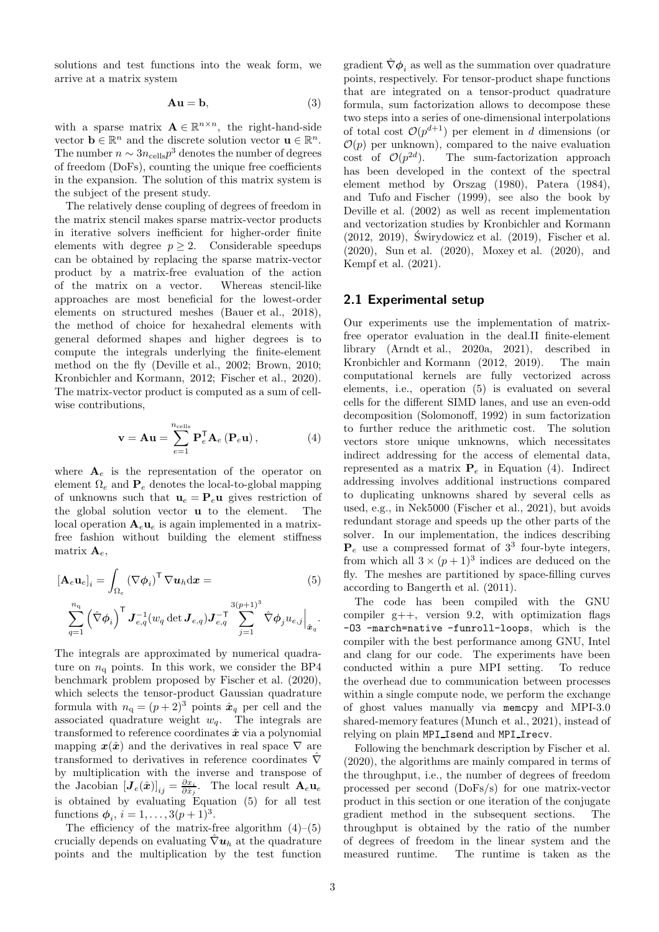solutions and test functions into the weak form, we arrive at a matrix system

$$
Au = b,\t(3)
$$

with a sparse matrix  $\mathbf{A} \in \mathbb{R}^{n \times n}$ , the right-hand-side vector  $\mathbf{b} \in \mathbb{R}^n$  and the discrete solution vector  $\mathbf{u} \in \mathbb{R}^n$ . The number  $n \sim 3n_{\text{cells}}p^3$  denotes the number of degrees of freedom (DoFs), counting the unique free coefficients in the expansion. The solution of this matrix system is the subject of the present study.

The relatively dense coupling of degrees of freedom in the matrix stencil makes sparse matrix-vector products in iterative solvers inefficient for higher-order finite elements with degree  $p \geq 2$ . Considerable speedups can be obtained by replacing the sparse matrix-vector product by a matrix-free evaluation of the action of the matrix on a vector. Whereas stencil-like approaches are most beneficial for the lowest-order elements on structured meshes [\(Bauer et al.](#page-16-3), [2018\)](#page-16-3), the method of choice for hexahedral elements with general deformed shapes and higher degrees is to compute the integrals underlying the finite-element method on the fly [\(Deville et al.](#page-17-0), [2002;](#page-17-0) [Brown, 2010;](#page-16-4) [Kronbichler and Kormann, 2012;](#page-17-13) [Fischer et al., 2020\)](#page-17-5). The matrix-vector product is computed as a sum of cellwise contributions,

<span id="page-2-1"></span>
$$
\mathbf{v} = \mathbf{A}\mathbf{u} = \sum_{e=1}^{n_{\text{cells}}} \mathbf{P}_e^{\mathsf{T}} \mathbf{A}_e \left( \mathbf{P}_e \mathbf{u} \right), \tag{4}
$$

where  $A_e$  is the representation of the operator on element  $\Omega_e$  and  $\mathbf{P}_e$  denotes the local-to-global mapping of unknowns such that  $\mathbf{u}_e = \mathbf{P}_e \mathbf{u}$  gives restriction of the global solution vector u to the element. The local operation  $A_{e}u_{e}$  is again implemented in a matrixfree fashion without building the element stiffness matrix  $\mathbf{A}_e$ ,

$$
[\mathbf{A}_e \mathbf{u}_e]_i = \int_{\Omega_e} (\nabla \phi_i)^{\mathsf{T}} \nabla \mathbf{u}_h \, \mathrm{d}\mathbf{x} =
$$
\n
$$
\sum_{q=1}^{n_q} (\hat{\nabla} \phi_i)^{\mathsf{T}} \mathbf{J}_{e,q}^{-1} (w_q \det \mathbf{J}_{e,q}) \mathbf{J}_{e,q}^{-\mathsf{T}} \sum_{j=1}^{3(p+1)^3} \hat{\nabla} \phi_j u_{e,j} \Big|_{\hat{\mathbf{x}}_q}.
$$
\n(5)

The integrals are approximated by numerical quadrature on  $n_{\rm q}$  points. In this work, we consider the BP4 benchmark problem proposed by [Fischer et al. \(2020\)](#page-17-5), which selects the tensor-product Gaussian quadrature formula with  $n_q = (p+2)^3$  points  $\hat{x}_q$  per cell and the associated quadrature weight  $w_q$ . The integrals are transformed to reference coordinates  $\hat{x}$  via a polynomial mapping  $x(\hat{x})$  and the derivatives in real space  $\nabla$  are transformed to derivatives in reference coordinates  $\nabla$ by multiplication with the inverse and transpose of the Jacobian  $[\mathbf{J}_e(\hat{\bm{x}})]_{ij} = \frac{\partial x_i}{\partial \hat{x}_j}$ . The local result  $\mathbf{A}_e \mathbf{u}_e$ is obtained by evaluating Equation [\(5\)](#page-2-0) for all test functions  $\phi_i, i = 1, ..., 3(p+1)^3$ .

The efficiency of the matrix-free algorithm  $(4)$ – $(5)$ crucially depends on evaluating  $\hat{\nabla}$ **u**<sub>h</sub> at the quadrature points and the multiplication by the test function gradient  $\nabla \phi_i$  as well as the summation over quadrature points, respectively. For tensor-product shape functions that are integrated on a tensor-product quadrature formula, sum factorization allows to decompose these two steps into a series of one-dimensional interpolations of total cost  $\mathcal{O}(p^{d+1})$  per element in d dimensions (or  $\mathcal{O}(p)$  per unknown), compared to the naive evaluation  $\cot$  of  $\mathcal{O}(p^{2d})$ ). The sum-factorization approach has been developed in the context of the spectral element method by [Orszag \(1980\)](#page-18-1), [Patera \(1984\)](#page-18-2), and [Tufo and Fischer \(1999\)](#page-18-0), see also the book by [Deville et al. \(2002](#page-17-0)) as well as recent implementation and vectorization studies by [Kronbichler and Kormann](#page-17-13)  $(2012, 2019)$  $(2012, 2019)$ , Świrydowicz et al.  $(2019)$ , [Fischer et al.](#page-17-5) [\(2020\)](#page-17-5), [Sun et al. \(2020](#page-18-4)), [Moxey et al. \(2020\)](#page-17-15), and [Kempf et al. \(2021\)](#page-17-16).

### 2.1 Experimental setup

Our experiments use the implementation of matrixfree operator evaluation in the deal.II finite-element library [\(Arndt et al., 2020a,](#page-16-5) [2021\)](#page-16-0), described in [Kronbichler and Kormann \(2012](#page-17-13), [2019\)](#page-17-14). The main computational kernels are fully vectorized across elements, i.e., operation [\(5\)](#page-2-0) is evaluated on several cells for the different SIMD lanes, and use an even-odd decomposition [\(Solomonoff](#page-18-5), [1992\)](#page-18-5) in sum factorization to further reduce the arithmetic cost. The solution vectors store unique unknowns, which necessitates indirect addressing for the access of elemental data, represented as a matrix  $P_e$  in Equation [\(4\)](#page-2-1). Indirect addressing involves additional instructions compared to duplicating unknowns shared by several cells as used, e.g., in Nek5000 [\(Fischer et al., 2021\)](#page-17-17), but avoids redundant storage and speeds up the other parts of the solver. In our implementation, the indices describing  $P_e$  use a compressed format of  $3^3$  four-byte integers, from which all  $3 \times (p+1)^3$  indices are deduced on the fly. The meshes are partitioned by space-filling curves according to [Bangerth et al. \(2011](#page-16-6)).

<span id="page-2-0"></span>The code has been compiled with the GNU compiler  $g_{++}$ , version 9.2, with optimization flags -O3 -march=native -funroll-loops, which is the compiler with the best performance among GNU, Intel and clang for our code. The experiments have been conducted within a pure MPI setting. To reduce the overhead due to communication between processes within a single compute node, we perform the exchange of ghost values manually via memcpy and MPI-3.0 shared-memory features [\(Munch et al.](#page-17-18), [2021\)](#page-17-18), instead of relying on plain MPI Isend and MPI Irecv.

Following the benchmark description by [Fischer et al.](#page-17-5) [\(2020\)](#page-17-5), the algorithms are mainly compared in terms of the throughput, i.e., the number of degrees of freedom processed per second (DoFs/s) for one matrix-vector product in this section or one iteration of the conjugate gradient method in the subsequent sections. The throughput is obtained by the ratio of the number of degrees of freedom in the linear system and the measured runtime. The runtime is taken as the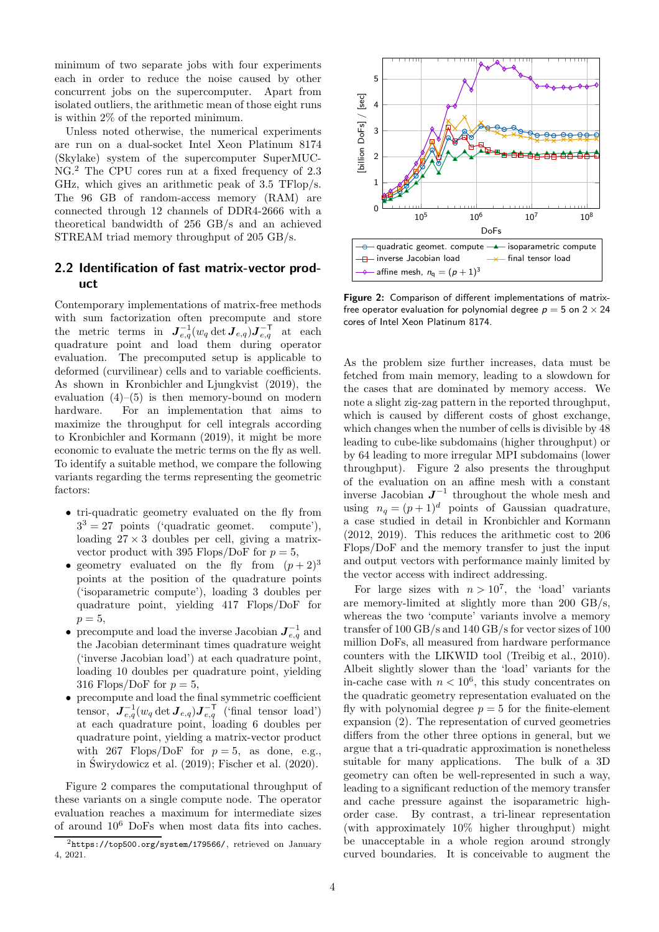minimum of two separate jobs with four experiments each in order to reduce the noise caused by other concurrent jobs on the supercomputer. Apart from isolated outliers, the arithmetic mean of those eight runs is within 2% of the reported minimum.

Unless noted otherwise, the numerical experiments are run on a dual-socket Intel Xeon Platinum 8174 (Skylake) system of the supercomputer SuperMUC-NG.[2](#page-3-0) The CPU cores run at a fixed frequency of 2.3 GHz, which gives an arithmetic peak of 3.5 TFlop/s. The 96 GB of random-access memory (RAM) are connected through 12 channels of DDR4-2666 with a theoretical bandwidth of 256 GB/s and an achieved STREAM triad memory throughput of 205 GB/s.

# <span id="page-3-2"></span>2.2 Identification of fast matrix-vector product

Contemporary implementations of matrix-free methods with sum factorization often precompute\_and store the metric terms in  $\boldsymbol{J}_{e,q}^{-1}(w_q \det \boldsymbol{J}_{e,q}) \boldsymbol{J}_{e,q}^{-\mathsf{T}}$  at each quadrature point and load them during operator evaluation. The precomputed setup is applicable to deformed (curvilinear) cells and to variable coefficients. As shown in [Kronbichler and Ljungkvist \(2019](#page-17-19)), the evaluation  $(4)$ – $(5)$  is then memory-bound on modern hardware. For an implementation that aims to maximize the throughput for cell integrals according to [Kronbichler and Kormann \(2019\)](#page-17-14), it might be more economic to evaluate the metric terms on the fly as well. To identify a suitable method, we compare the following variants regarding the terms representing the geometric factors:

- tri-quadratic geometry evaluated on the fly from  $3<sup>3</sup> = 27$  points ('quadratic geomet. compute'), loading  $27 \times 3$  doubles per cell, giving a matrixvector product with 395 Flops/DoF for  $p = 5$ ,
- geometry evaluated on the fly from  $(p+2)^3$ points at the position of the quadrature points ('isoparametric compute'), loading 3 doubles per quadrature point, yielding 417 Flops/DoF for  $p=5$ ,
- precompute and load the inverse Jacobian  $J_{e,q}^{-1}$  and the Jacobian determinant times quadrature weight ('inverse Jacobian load') at each quadrature point, loading 10 doubles per quadrature point, yielding 316 Flops/DoF for  $p = 5$ ,
- precompute and load the final symmetric coefficient tensor,  $\boldsymbol{J}_{e,q}^{-1}(w_q \det \boldsymbol{J}_{e,q}) \boldsymbol{J}_{e,q}^{-\mathsf{T}}$  ('final tensor load') at each quadrature point, loading 6 doubles per quadrature point, yielding a matrix-vector product with 267 Flops/DoF for  $p = 5$ , as done, e.g., in Świrydowicz et al.  $(2019)$ ; Fischer et al.  $(2020)$ .

Figure [2](#page-3-1) compares the computational throughput of these variants on a single compute node. The operator evaluation reaches a maximum for intermediate sizes of around 10<sup>6</sup> DoFs when most data fits into caches.

<span id="page-3-1"></span>

Figure 2: Comparison of different implementations of matrixfree operator evaluation for polynomial degree  $p = 5$  on  $2 \times 24$ cores of Intel Xeon Platinum 8174.

As the problem size further increases, data must be fetched from main memory, leading to a slowdown for the cases that are dominated by memory access. We note a slight zig-zag pattern in the reported throughput, which is caused by different costs of ghost exchange, which changes when the number of cells is divisible by 48 leading to cube-like subdomains (higher throughput) or by 64 leading to more irregular MPI subdomains (lower throughput). Figure [2](#page-3-1) also presents the throughput of the evaluation on an affine mesh with a constant inverse Jacobian  $J^{-1}$  throughout the whole mesh and using  $n_q = (p+1)^d$  points of Gaussian quadrature, a case studied in detail in [Kronbichler and Kormann](#page-17-13) [\(2012,](#page-17-13) [2019\)](#page-17-14). This reduces the arithmetic cost to 206 Flops/DoF and the memory transfer to just the input and output vectors with performance mainly limited by the vector access with indirect addressing.

For large sizes with  $n > 10^7$ , the 'load' variants are memory-limited at slightly more than 200 GB/s, whereas the two 'compute' variants involve a memory transfer of 100 GB/s and 140 GB/s for vector sizes of 100 million DoFs, all measured from hardware performance counters with the LIKWID tool [\(Treibig et al.](#page-18-6), [2010\)](#page-18-6). Albeit slightly slower than the 'load' variants for the in-cache case with  $n < 10^6$ , this study concentrates on the quadratic geometry representation evaluated on the fly with polynomial degree  $p = 5$  for the finite-element expansion [\(2\)](#page-1-3). The representation of curved geometries differs from the other three options in general, but we argue that a tri-quadratic approximation is nonetheless suitable for many applications. The bulk of a 3D geometry can often be well-represented in such a way, leading to a significant reduction of the memory transfer and cache pressure against the isoparametric highorder case. By contrast, a tri-linear representation (with approximately 10% higher throughput) might be unacceptable in a whole region around strongly curved boundaries. It is conceivable to augment the

<span id="page-3-0"></span> $^{2}$ <https://top500.org/system/179566/>, retrieved on January 4, 2021.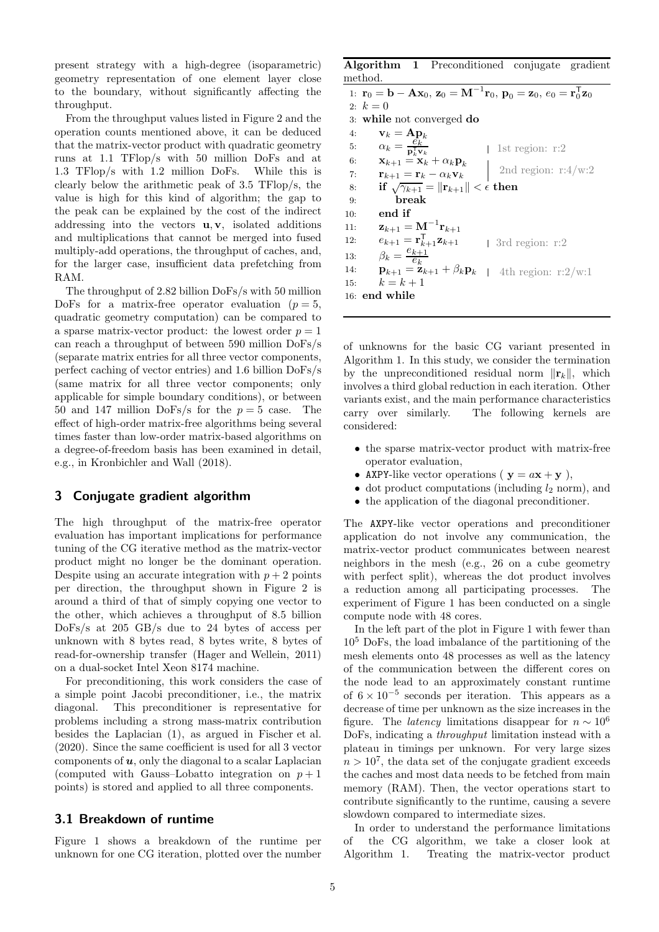present strategy with a high-degree (isoparametric) geometry representation of one element layer close to the boundary, without significantly affecting the throughput.

From the throughput values listed in Figure [2](#page-3-1) and the operation counts mentioned above, it can be deduced that the matrix-vector product with quadratic geometry runs at 1.1 TFlop/s with 50 million DoFs and at 1.3 TFlop/s with 1.2 million DoFs. While this is clearly below the arithmetic peak of 3.5 TFlop/s, the value is high for this kind of algorithm; the gap to the peak can be explained by the cost of the indirect addressing into the vectors  $\mathbf{u}, \mathbf{v}$ , isolated additions and multiplications that cannot be merged into fused multiply-add operations, the throughput of caches, and, for the larger case, insufficient data prefetching from RAM.

The throughput of 2.82 billion DoFs/s with 50 million DoFs for a matrix-free operator evaluation ( $p = 5$ , quadratic geometry computation) can be compared to a sparse matrix-vector product: the lowest order  $p = 1$ can reach a throughput of between 590 million DoFs/s (separate matrix entries for all three vector components, perfect caching of vector entries) and 1.6 billion DoFs/s (same matrix for all three vector components; only applicable for simple boundary conditions), or between 50 and 147 million DoFs/s for the  $p = 5$  case. The effect of high-order matrix-free algorithms being several times faster than low-order matrix-based algorithms on a degree-of-freedom basis has been examined in detail, e.g., in [Kronbichler and Wall \(2018\)](#page-17-20).

### <span id="page-4-1"></span>3 Conjugate gradient algorithm

The high throughput of the matrix-free operator evaluation has important implications for performance tuning of the CG iterative method as the matrix-vector product might no longer be the dominant operation. Despite using an accurate integration with  $p + 2$  points per direction, the throughput shown in Figure [2](#page-3-1) is around a third of that of simply copying one vector to the other, which achieves a throughput of 8.5 billion DoFs/s at 205 GB/s due to 24 bytes of access per unknown with 8 bytes read, 8 bytes write, 8 bytes of read-for-ownership transfer [\(Hager and Wellein](#page-17-21), [2011\)](#page-17-21) on a dual-socket Intel Xeon 8174 machine.

For preconditioning, this work considers the case of a simple point Jacobi preconditioner, i.e., the matrix diagonal. This preconditioner is representative for problems including a strong mass-matrix contribution besides the Laplacian [\(1\)](#page-1-2), as argued in [Fischer et al.](#page-17-5) [\(2020](#page-17-5)). Since the same coefficient is used for all 3 vector components of  $u$ , only the diagonal to a scalar Laplacian (computed with Gauss–Lobatto integration on  $p+1$ ) points) is stored and applied to all three components.

# <span id="page-4-0"></span>3.1 Breakdown of runtime

Figure [1](#page-0-0) shows a breakdown of the runtime per unknown for one CG iteration, plotted over the number

<span id="page-4-2"></span>Algorithm 1 Preconditioned conjugate gradient method.

1:  $\mathbf{r}_0 = \mathbf{b} - \mathbf{A}\mathbf{x}_0$ ,  $\mathbf{z}_0 = \mathbf{M}^{-1}\mathbf{r}_0$ ,  $\mathbf{p}_0 = \mathbf{z}_0$ ,  $e_0 = \mathbf{r}_0^{\mathsf{T}}\mathbf{z}_0$ 2:  $k = 0$ 3: while not converged do 4:  $\mathbf{v}_k = \mathbf{A} \mathbf{p}_k$ 5:  $\alpha_k = \frac{e_k}{\mathbf{p}_k^{\mathsf{T}} \mathbf{v}_k}$ 6:  $\mathbf{x}_{k+1} = \mathbf{x}_k + \alpha_k \mathbf{p}_k$ 7:  $\mathbf{r}_{k+1} = \mathbf{r}_k - \alpha_k \mathbf{v}_k$ <br>8: if  $\sqrt{\gamma_{k+1}} = ||\mathbf{r}_{k+1}||$ 8: if  $\sqrt{\gamma_{k+1}} = ||\mathbf{r}_{k+1}|| < \epsilon$  then<br>9: break .<br>break 10: end if 11:  $\mathbf{z}_{k+1} = \mathbf{M}^{-1} \mathbf{r}_{k+1}$ 12:  $e_{k+1} = \mathbf{r}_{k+1}^{\mathsf{T}} \mathbf{z}_{k+1}$ 13:  $\beta_k = \frac{e_{k+1}}{e_k}$  $\overline{e_k}$ 14:  $\mathbf{p}_{k+1} = \mathbf{z}_{k+1} + \beta_k \mathbf{p}_k$ 15:  $k = k + 1$ 16: end while 1st region: r:2 2nd region:  $r:4/w:2$ 3rd region: r:2 4th region: r:2/w:1

of unknowns for the basic CG variant presented in Algorithm [1.](#page-4-2) In this study, we consider the termination by the unpreconditioned residual norm  $\|\mathbf{r}_k\|$ , which involves a third global reduction in each iteration. Other variants exist, and the main performance characteristics carry over similarly. The following kernels are considered:

- the sparse matrix-vector product with matrix-free operator evaluation,
- AXPY-like vector operations ( $y = a x + y$ ),
- dot product computations (including  $l_2$  norm), and
- the application of the diagonal preconditioner.

The AXPY-like vector operations and preconditioner application do not involve any communication, the matrix-vector product communicates between nearest neighbors in the mesh (e.g., 26 on a cube geometry with perfect split), whereas the dot product involves a reduction among all participating processes. The experiment of Figure [1](#page-0-0) has been conducted on a single compute node with 48 cores.

In the left part of the plot in Figure [1](#page-0-0) with fewer than 10<sup>5</sup> DoFs, the load imbalance of the partitioning of the mesh elements onto 48 processes as well as the latency of the communication between the different cores on the node lead to an approximately constant runtime of  $6 \times 10^{-5}$  seconds per iteration. This appears as a decrease of time per unknown as the size increases in the figure. The *latency* limitations disappear for  $n \sim 10^6$ DoFs, indicating a *throughput* limitation instead with a plateau in timings per unknown. For very large sizes  $n > 10<sup>7</sup>$ , the data set of the conjugate gradient exceeds the caches and most data needs to be fetched from main memory (RAM). Then, the vector operations start to contribute significantly to the runtime, causing a severe slowdown compared to intermediate sizes.

In order to understand the performance limitations of the CG algorithm, we take a closer look at Algorithm [1.](#page-4-2) Treating the matrix-vector product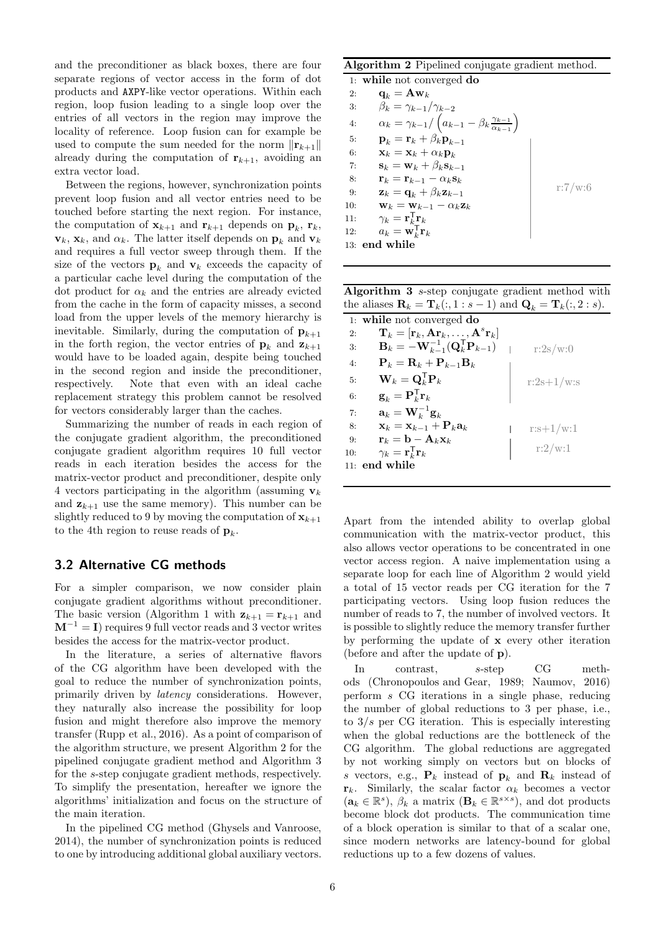and the preconditioner as black boxes, there are four separate regions of vector access in the form of dot products and AXPY-like vector operations. Within each region, loop fusion leading to a single loop over the entries of all vectors in the region may improve the locality of reference. Loop fusion can for example be used to compute the sum needed for the norm  $\|\mathbf{r}_{k+1}\|$ already during the computation of  $r_{k+1}$ , avoiding an extra vector load.

Between the regions, however, synchronization points prevent loop fusion and all vector entries need to be touched before starting the next region. For instance, the computation of  $\mathbf{x}_{k+1}$  and  $\mathbf{r}_{k+1}$  depends on  $\mathbf{p}_k$ ,  $\mathbf{r}_k$ ,  $v_k$ ,  $x_k$ , and  $\alpha_k$ . The latter itself depends on  $p_k$  and  $v_k$ and requires a full vector sweep through them. If the size of the vectors  $\mathbf{p}_k$  and  $\mathbf{v}_k$  exceeds the capacity of a particular cache level during the computation of the dot product for  $\alpha_k$  and the entries are already evicted from the cache in the form of capacity misses, a second load from the upper levels of the memory hierarchy is inevitable. Similarly, during the computation of  $\mathbf{p}_{k+1}$ in the forth region, the vector entries of  $\mathbf{p}_k$  and  $\mathbf{z}_{k+1}$ would have to be loaded again, despite being touched in the second region and inside the preconditioner, respectively. Note that even with an ideal cache replacement strategy this problem cannot be resolved for vectors considerably larger than the caches.

Summarizing the number of reads in each region of the conjugate gradient algorithm, the preconditioned conjugate gradient algorithm requires 10 full vector reads in each iteration besides the access for the matrix-vector product and preconditioner, despite only 4 vectors participating in the algorithm (assuming  $v_k$ ) and  $z_{k+1}$  use the same memory). This number can be slightly reduced to 9 by moving the computation of  $\mathbf{x}_{k+1}$ to the 4<sup>th</sup> region to reuse reads of  $\mathbf{p}_k$ .

# 3.2 Alternative CG methods

For a simpler comparison, we now consider plain conjugate gradient algorithms without preconditioner. The basic version (Algorithm [1](#page-4-2) with  $z_{k+1} = r_{k+1}$  and  $\mathbf{M}^{-1}=\mathbf{I}$  ) requires 9 full vector reads and 3 vector writes besides the access for the matrix-vector product.

In the literature, a series of alternative flavors of the CG algorithm have been developed with the goal to reduce the number of synchronization points, primarily driven by *latency* considerations. However, they naturally also increase the possibility for loop fusion and might therefore also improve the memory transfer [\(Rupp et al., 2016\)](#page-18-7). As a point of comparison of the algorithm structure, we present Algorithm [2](#page-5-0) for the pipelined conjugate gradient method and Algorithm [3](#page-5-1) for the s-step conjugate gradient methods, respectively. To simplify the presentation, hereafter we ignore the algorithms' initialization and focus on the structure of the main iteration.

In the pipelined CG method [\(Ghysels and Vanroose,](#page-17-6) [2014](#page-17-6)), the number of synchronization points is reduced to one by introducing additional global auxiliary vectors.

## <span id="page-5-0"></span>Algorithm 2 Pipelined conjugate gradient method.

1: while not converged do 2:  $\mathbf{q}_k = \mathbf{A}\mathbf{w}_k$ 3:  $\beta_k = \gamma_{k-1}/\gamma_{k-2}$ 4:  $\alpha_k = \gamma_{k-1} / (a_{k-1} - \beta_k \frac{\gamma_{k-1}}{\alpha_{k-1}})$  $\frac{\gamma_{k-1}}{\alpha_{k-1}}$ 5:  $\mathbf{p}_k = \mathbf{r}_k + \hat{\beta_k} \mathbf{p}_{k-1}$ 6:  $\mathbf{x}_k = \mathbf{x}_k + \alpha_k \mathbf{p}_k$ 7:  $\mathbf{s}_k = \mathbf{w}_k + \beta_k \mathbf{s}_{k-1}$ 8:  $\mathbf{r}_k = \mathbf{r}_{k-1} - \alpha_k \mathbf{s}_k$ <br>9:  $\mathbf{z}_k = \mathbf{q}_k + \beta_k \mathbf{z}_{k-1}$  $\mathbf{z}_k = \mathbf{q}_k + \beta_k \mathbf{z}_{k-1}$ 10:  $\mathbf{w}_k = \mathbf{w}_{k-1} - \alpha_k \mathbf{z}_k$ <br>11:  $\gamma_k = \mathbf{r}_k^{\mathsf{T}} \mathbf{r}_k$ 11:  $\gamma_k = \mathbf{r}_{k}^{\mathsf{T}} \mathbf{r}_k$ 12:  $a_k = \mathbf{w}_k^{\mathsf{T}} \mathbf{r}_k$ 13: end while r:7/w:6

<span id="page-5-1"></span>Algorithm 3 s-step conjugate gradient method with the aliases  $\mathbf{R}_k = \mathbf{T}_k(:,1:s-1)$  and  $\mathbf{Q}_k = \mathbf{T}_k(:,2:s)$ .

|     | 1: while not converged do                                                                  |              |
|-----|--------------------------------------------------------------------------------------------|--------------|
| 2:  | $\mathbf{T}_k = [\mathbf{r}_k, \mathbf{A} \mathbf{r}_k, \dots, \mathbf{A}^s \mathbf{r}_k]$ |              |
| 3:  | $\mathbf{B}_k = -\mathbf{W}_{k-1}^{-1}(\mathbf{Q}_k^{\top}\mathbf{P}_{k-1})$               | r:2s/w:0     |
| 4:  | $\mathbf{P}_k = \mathbf{R}_k + \mathbf{P}_{k-1} \mathbf{B}_k$                              |              |
| 5:  | $\mathbf{W}_k = \mathbf{Q}_k^{\mathsf{T}} \mathbf{P}_k$                                    | $r:2s+1/w:s$ |
| 6:  | $\mathbf{g}_k = \mathbf{P}_k^{\mathsf{T}} \mathbf{r}_k$                                    |              |
| 7:  | $\mathbf{a}_k = \mathbf{W}_k^{-1} \mathbf{g}_k$                                            |              |
| 8:  | $\mathbf{x}_k = \mathbf{x}_{k-1} + \mathbf{P}_k \mathbf{a}_k$                              | $r:s+1/w:1$  |
| 9:  | $\mathbf{r}_k = \mathbf{b} - \mathbf{A}_k \mathbf{x}_k$                                    |              |
| 10: | $\gamma_k = \mathbf{r}_k^{\mathsf{T}} \mathbf{r}_k$                                        | r:2/w:1      |
| 11: | end while                                                                                  |              |

Apart from the intended ability to overlap global communication with the matrix-vector product, this also allows vector operations to be concentrated in one vector access region. A naive implementation using a separate loop for each line of Algorithm [2](#page-5-0) would yield a total of 15 vector reads per CG iteration for the 7 participating vectors. Using loop fusion reduces the number of reads to 7, the number of involved vectors. It is possible to slightly reduce the memory transfer further by performing the update of x every other iteration (before and after the update of p).

In contrast, s-step CG methods [\(Chronopoulos and Gear](#page-17-8), [1989;](#page-17-8) [Naumov, 2016](#page-17-22)) perform s CG iterations in a single phase, reducing the number of global reductions to 3 per phase, i.e., to  $3/s$  per CG iteration. This is especially interesting when the global reductions are the bottleneck of the CG algorithm. The global reductions are aggregated by not working simply on vectors but on blocks of s vectors, e.g.,  $P_k$  instead of  $p_k$  and  $R_k$  instead of  $\mathbf{r}_k$ . Similarly, the scalar factor  $\alpha_k$  becomes a vector  $(\mathbf{a}_k \in \mathbb{R}^s)$ ,  $\beta_k$  a matrix  $(\mathbf{B}_k \in \mathbb{R}^{s \times s})$ , and dot products become block dot products. The communication time of a block operation is similar to that of a scalar one, since modern networks are latency-bound for global reductions up to a few dozens of values.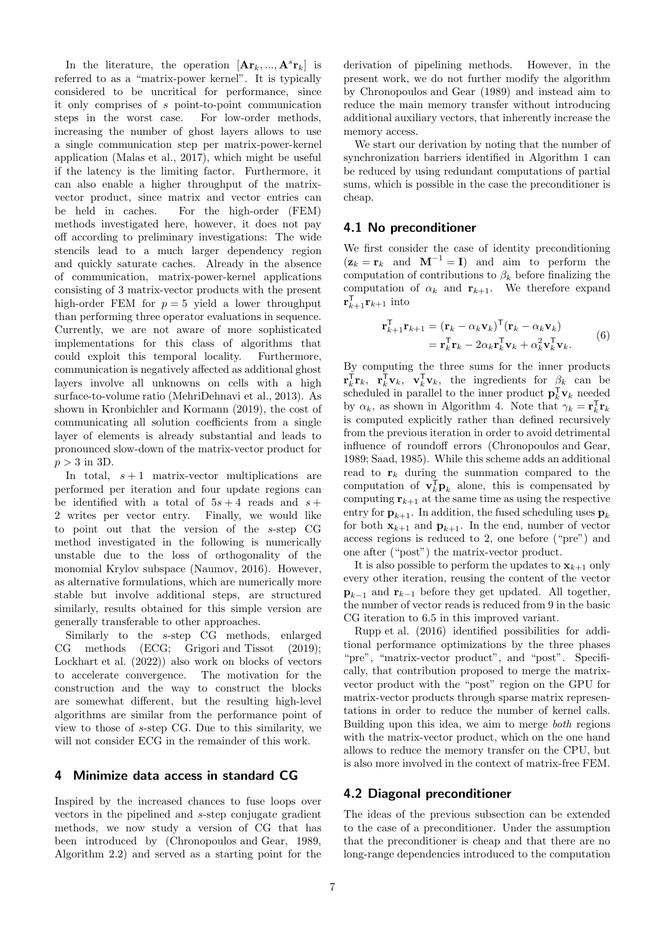In the literature, the operation  $[\mathbf{Ar}_k, ..., \mathbf{A}^s \mathbf{r}_k]$  is referred to as a "matrix-power kernel". It is typically considered to be uncritical for performance, since it only comprises of s point-to-point communication steps in the worst case. For low-order methods, increasing the number of ghost layers allows to use a single communication step per matrix-power-kernel application [\(Malas et al.](#page-17-12), [2017\)](#page-17-12), which might be useful if the latency is the limiting factor. Furthermore, it can also enable a higher throughput of the matrixvector product, since matrix and vector entries can be held in caches. For the high-order (FEM) methods investigated here, however, it does not pay off according to preliminary investigations: The wide stencils lead to a much larger dependency region and quickly saturate caches. Already in the absence of communication, matrix-power-kernel applications consisting of 3 matrix-vector products with the present high-order FEM for  $p = 5$  yield a lower throughput than performing three operator evaluations in sequence. Currently, we are not aware of more sophisticated implementations for this class of algorithms that could exploit this temporal locality. Furthermore, communication is negatively affected as additional ghost layers involve all unknowns on cells with a high surface-to-volume ratio [\(MehriDehnavi et al., 2013\)](#page-17-23). As shown in [Kronbichler and Kormann \(2019\)](#page-17-14), the cost of communicating all solution coefficients from a single layer of elements is already substantial and leads to pronounced slow-down of the matrix-vector product for  $p > 3$  in 3D.

In total,  $s + 1$  matrix-vector multiplications are performed per iteration and four update regions can be identified with a total of  $5s + 4$  reads and  $s +$ 2 writes per vector entry. Finally, we would like to point out that the version of the s-step CG method investigated in the following is numerically unstable due to the loss of orthogonality of the monomial Krylov subspace [\(Naumov, 2016](#page-17-22)). However, as alternative formulations, which are numerically more stable but involve additional steps, are structured similarly, results obtained for this simple version are generally transferable to other approaches.

Similarly to the s-step CG methods, enlarged CG methods (ECG; [Grigori and Tissot \(2019\)](#page-17-24); [Lockhart et al. \(2022](#page-17-25))) also work on blocks of vectors to accelerate convergence. The motivation for the construction and the way to construct the blocks are somewhat different, but the resulting high-level algorithms are similar from the performance point of view to those of s-step CG. Due to this similarity, we will not consider ECG in the remainder of this work.

# <span id="page-6-0"></span>4 Minimize data access in standard CG

Inspired by the increased chances to fuse loops over vectors in the pipelined and s-step conjugate gradient methods, we now study a version of CG that has been introduced by [\(Chronopoulos and Gear](#page-17-8), [1989,](#page-17-8) Algorithm 2.2) and served as a starting point for the derivation of pipelining methods. However, in the present work, we do not further modify the algorithm by [Chronopoulos and Gear \(1989\)](#page-17-8) and instead aim to reduce the main memory transfer without introducing additional auxiliary vectors, that inherently increase the memory access.

We start our derivation by noting that the number of synchronization barriers identified in Algorithm [1](#page-4-2) can be reduced by using redundant computations of partial sums, which is possible in the case the preconditioner is cheap.

## 4.1 No preconditioner

We first consider the case of identity preconditioning  $(z_k = r_k$  and  $M^{-1} = I)$  and aim to perform the computation of contributions to  $\beta_k$  before finalizing the computation of  $\alpha_k$  and  $\mathbf{r}_{k+1}$ . We therefore expand  $\mathbf{r}_{k+1}^{\mathsf{T}}\mathbf{r}_{k+1}$  into

<span id="page-6-1"></span>
$$
\mathbf{r}_{k+1}^{\mathsf{T}} \mathbf{r}_{k+1} = (\mathbf{r}_k - \alpha_k \mathbf{v}_k)^{\mathsf{T}} (\mathbf{r}_k - \alpha_k \mathbf{v}_k)
$$
  
= 
$$
\mathbf{r}_k^{\mathsf{T}} \mathbf{r}_k - 2\alpha_k \mathbf{r}_k^{\mathsf{T}} \mathbf{v}_k + \alpha_k^2 \mathbf{v}_k^{\mathsf{T}} \mathbf{v}_k.
$$
 (6)

By computing the three sums for the inner products  $\mathbf{r}_k^{\mathsf{T}} \mathbf{r}_k$ ,  $\mathbf{r}_k^{\mathsf{T}} \mathbf{v}_k$ ,  $\mathbf{v}_k^{\mathsf{T}} \mathbf{v}_k$ , the ingredients for  $\beta_k$  can be scheduled in parallel to the inner product  $\mathbf{p}_k^{\mathsf{T}} \mathbf{v}_k$  needed by  $\alpha_k$ , as shown in Algorithm [4.](#page-7-0) Note that  $\gamma_k = \mathbf{r}_k^{\mathsf{T}} \mathbf{r}_k$ is computed explicitly rather than defined recursively from the previous iteration in order to avoid detrimental influence of roundoff errors [\(Chronopoulos and Gear](#page-17-8), [1989](#page-17-8); [Saad](#page-18-8), [1985\)](#page-18-8). While this scheme adds an additional read to  $r_k$  during the summation compared to the computation of  $\mathbf{v}_k^{\mathsf{T}} \mathbf{p}_k$  alone, this is compensated by computing  $r_{k+1}$  at the same time as using the respective entry for  $\mathbf{p}_{k+1}$ . In addition, the fused scheduling uses  $\mathbf{p}_k$ for both  $\mathbf{x}_{k+1}$  and  $\mathbf{p}_{k+1}$ . In the end, number of vector access regions is reduced to 2, one before ("pre") and one after ("post") the matrix-vector product.

It is also possible to perform the updates to  $\mathbf{x}_{k+1}$  only every other iteration, reusing the content of the vector  $\mathbf{p}_{k-1}$  and  $\mathbf{r}_{k-1}$  before they get updated. All together, the number of vector reads is reduced from 9 in the basic CG iteration to 6.5 in this improved variant.

[Rupp et al. \(2016](#page-18-7)) identified possibilities for additional performance optimizations by the three phases "pre", "matrix-vector product", and "post". Specifically, that contribution proposed to merge the matrixvector product with the "post" region on the GPU for matrix-vector products through sparse matrix representations in order to reduce the number of kernel calls. Building upon this idea, we aim to merge *both* regions with the matrix-vector product, which on the one hand allows to reduce the memory transfer on the CPU, but is also more involved in the context of matrix-free FEM.

# 4.2 Diagonal preconditioner

The ideas of the previous subsection can be extended to the case of a preconditioner. Under the assumption that the preconditioner is cheap and that there are no long-range dependencies introduced to the computation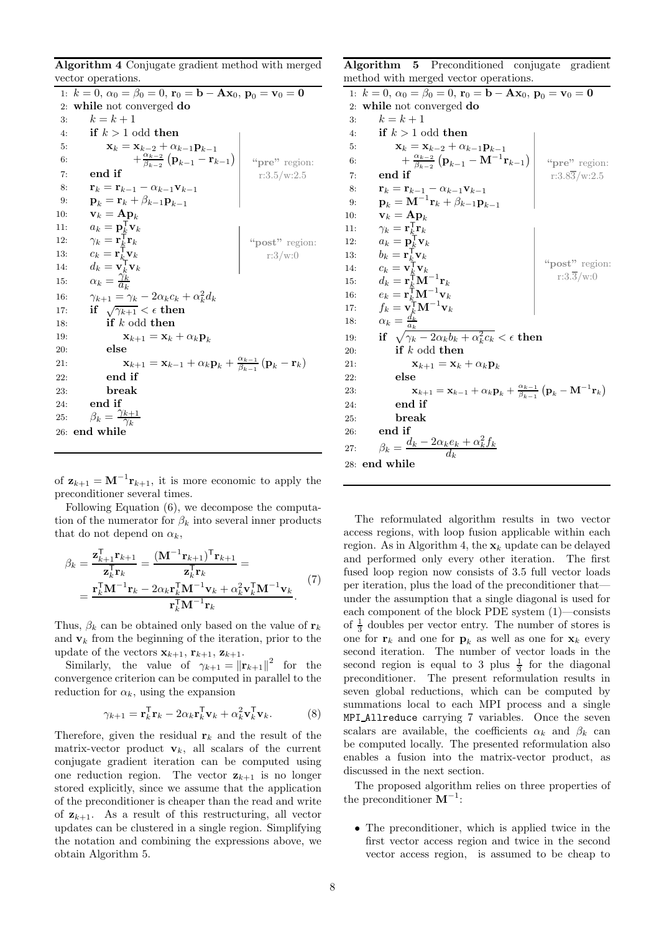<span id="page-7-0"></span>Algorithm 4 Conjugate gradient method with merged vector operations.

1:  $k = 0$ ,  $\alpha_0 = \beta_0 = 0$ ,  $\mathbf{r}_0 = \mathbf{b} - \mathbf{A}\mathbf{x}_0$ ,  $\mathbf{p}_0 = \mathbf{v}_0 = \mathbf{0}$ 2: while not converged do 3:  $k = k + 1$ 4: if  $k > 1$  odd then 5:  $\mathbf{x}_k = \mathbf{x}_{k-2} + \alpha_{k-1} \mathbf{p}_{k-1}$ 6:  $+\frac{\alpha_{k-2}}{\beta_{k-2}}$  $\frac{\alpha_{k-2}}{\beta_{k-2}}\left(\mathbf{p}_{k-1}-\mathbf{r}_{k-1}\right)$ 7: end if 8:  $\mathbf{r}_k = \mathbf{r}_{k-1} - \alpha_{k-1}\mathbf{v}_{k-1}$ <br>9:  $\mathbf{p}_k = \mathbf{r}_k + \beta_{k-1}\mathbf{p}_{k-1}$ 9:  $\mathbf{p}_k = \mathbf{r}_k + \beta_{k-1}\mathbf{p}_{k-1}$ <br>10:  $\mathbf{v}_k = \mathbf{A}\mathbf{p}_k$  $\mathbf{v}_k = \mathbf{A} \mathbf{p}_k$ 11:  $a_k = \mathbf{p}_k^{\mathsf{T}} \mathbf{v}_k$ 12:  $\gamma_k = \mathbf{r}_{\underline{k}}^{\mathsf{T}} \mathbf{r}_k$ 13:  $c_k = \mathbf{r}_k^{\mathsf{T}} \mathbf{v}_k$ 14:  $d_k = \mathbf{v}_k^{\mathsf{T}} \mathbf{v}_k$ 15:  $\alpha_k = \frac{\gamma_k^k}{a_k}$  $\ddot{a_k}$ 16:  $\gamma_{k+1} = \gamma_k - 2\alpha_k c_k + \alpha_k^2 d_k$ 16:  $\gamma_{k+1} = \gamma_k - 2\alpha_k c_k +$ <br>17: **if**  $\sqrt{\gamma_{k+1}} < \epsilon$  then 18: **if**  $k$  odd then 19:  $\mathbf{x}_{k+1} = \mathbf{x}_k + \alpha_k \mathbf{p}_k$ 20: else 21:  $\mathbf{x}_{k+1} = \mathbf{x}_{k-1} + \alpha_k \mathbf{p}_k + \frac{\alpha_{k-1}}{\beta_{k-1}}$  $\frac{\alpha_{k-1}}{\beta_{k-1}}(\mathbf{p}_k-\mathbf{r}_k)$ 22: end if 23: break 24: end if 25:  $\beta_k = \frac{\gamma_{k+1}}{\gamma_k}$  $\frac{1}{\gamma_k}$ 26: end while "pre" region: r:3.5/w:2.5 "post" region: r:3/w:0

of  $z_{k+1} = M^{-1}r_{k+1}$ , it is more economic to apply the preconditioner several times.

Following Equation [\(6\)](#page-6-1), we decompose the computation of the numerator for  $\beta_k$  into several inner products that do not depend on  $\alpha_k$ ,

$$
\beta_k = \frac{\mathbf{z}_{k+1}^{\mathsf{T}} \mathbf{r}_{k+1}}{\mathbf{z}_{k}^{\mathsf{T}} \mathbf{r}_{k}} = \frac{(\mathbf{M}^{-1} \mathbf{r}_{k+1})^{\mathsf{T}} \mathbf{r}_{k+1}}{\mathbf{z}_{k}^{\mathsf{T}} \mathbf{r}_{k}} =
$$
\n
$$
= \frac{\mathbf{r}_{k}^{\mathsf{T}} \mathbf{M}^{-1} \mathbf{r}_{k} - 2\alpha_{k} \mathbf{r}_{k}^{\mathsf{T}} \mathbf{M}^{-1} \mathbf{v}_{k} + \alpha_{k}^{2} \mathbf{v}_{k}^{\mathsf{T}} \mathbf{M}^{-1} \mathbf{v}_{k}}{\mathbf{r}_{k}^{\mathsf{T}} \mathbf{M}^{-1} \mathbf{r}_{k}}.
$$
\n(7)

Thus,  $\beta_k$  can be obtained only based on the value of  $\mathbf{r}_k$ and  $v_k$  from the beginning of the iteration, prior to the update of the vectors  $\mathbf{x}_{k+1}$ ,  $\mathbf{r}_{k+1}$ ,  $\mathbf{z}_{k+1}$ .

Similarly, the value of  $\gamma_{k+1} = ||\mathbf{r}_{k+1}||^2$  for the convergence criterion can be computed in parallel to the reduction for  $\alpha_k$ , using the expansion

$$
\gamma_{k+1} = \mathbf{r}_k^{\mathsf{T}} \mathbf{r}_k - 2\alpha_k \mathbf{r}_k^{\mathsf{T}} \mathbf{v}_k + \alpha_k^2 \mathbf{v}_k^{\mathsf{T}} \mathbf{v}_k. \tag{8}
$$

Therefore, given the residual  $r_k$  and the result of the matrix-vector product  $v_k$ , all scalars of the current conjugate gradient iteration can be computed using one reduction region. The vector  $z_{k+1}$  is no longer stored explicitly, since we assume that the application of the preconditioner is cheaper than the read and write of  $z_{k+1}$ . As a result of this restructuring, all vector updates can be clustered in a single region. Simplifying the notation and combining the expressions above, we obtain Algorithm [5.](#page-7-1)

<span id="page-7-1"></span>Algorithm 5 Preconditioned conjugate gradient method with merged vector operations.

1:  $k = 0$ ,  $\alpha_0 = \beta_0 = 0$ ,  $\mathbf{r}_0 = \mathbf{b} - \mathbf{A}\mathbf{x}_0$ ,  $\mathbf{p}_0 = \mathbf{v}_0 = \mathbf{0}$ 2: while not converged do 3:  $k = k + 1$ 4: if  $k > 1$  odd then 5:  $\mathbf{x}_k = \mathbf{x}_{k-2} + \alpha_{k-1}\mathbf{p}_{k-1}$ 6:  $+\frac{\alpha_{k-2}}{\beta_{k-2}}$  $\frac{\alpha_{k-2}}{\beta_{k-2}}\left(\mathbf{p}_{k-1}-\mathbf{M}^{-1}\mathbf{r}_{k-1}\right)$ 7: end if 8:  $\mathbf{r}_k = \mathbf{r}_{k-1} - \alpha_{k-1}\mathbf{v}_{k-1}$ <br>9:  $\mathbf{p}_k = \mathbf{M}^{-1}\mathbf{r}_k + \beta_{k-1}\mathbf{p}_k$ 9:  ${\bf p}_k = {\bf M}^{-1}{\bf r}_k + \beta_{k-1}{\bf p}_{k-1}$ 10:  $\mathbf{v}_k = \mathbf{A} \mathbf{p}_k$ 11:  $\gamma_k = \mathbf{r}_{k}^{\mathsf{T}} \mathbf{r}_k$ 12:  $a_k = \mathbf{p}_k^{\mathsf{T}} \mathbf{v}_k$ 13:  $b_k = \mathbf{r}_k^{\mathsf{T}} \mathbf{v}_k$ 14:  $c_k = \mathbf{v}_k^{\mathsf{T}} \mathbf{v}_k$ 15:  $d_k = \mathbf{r}_k^{\mathsf{T}} \mathbf{M}^{-1} \mathbf{r}_k$ 16:  $e_k = \mathbf{r}_k^{\text{T}} \mathbf{M}^{-1} \mathbf{v}_k$ 17:  $f_k = \mathbf{v}_k^{\mathsf{T}} \mathbf{M}^{-1} \mathbf{v}_k$ 18:  $\alpha_k = \frac{d_k}{a_k}$ 19: if  $\sqrt{\gamma_k - 2\alpha_k b_k + \alpha_k^2 c_k} < \epsilon$  then 20: if  $k$  odd then 21:  $\mathbf{x}_{k+1} = \mathbf{x}_k + \alpha_k \mathbf{p}_k$ 22: else 23:  $\mathbf{x}_{k+1} = \mathbf{x}_{k-1} + \alpha_k \mathbf{p}_k + \frac{\alpha_{k-1}}{\beta_{k-1}}$  $\frac{\alpha_{k-1}}{\beta_{k-1}}\left(\mathbf{p}_k-\mathbf{M}^{-1}\mathbf{r}_k\right)$ 24: end if 25: break 26: end if 27:  $\beta_k = \frac{d_k - 2\alpha_k e_k + \alpha_k^2 f_k}{d_k}$  $d_k$ 28: end while "pre" region: r:3.83/w:2.5 "post" region:  $r:3.\overline{3}/w:0$ 

The reformulated algorithm results in two vector access regions, with loop fusion applicable within each region. As in Algorithm [4,](#page-7-0) the  $x_k$  update can be delayed and performed only every other iteration. The first fused loop region now consists of 3.5 full vector loads per iteration, plus the load of the preconditioner that under the assumption that a single diagonal is used for each component of the block PDE system [\(1\)](#page-1-2)—consists of  $\frac{1}{3}$  doubles per vector entry. The number of stores is one for  $r_k$  and one for  $p_k$  as well as one for  $x_k$  every second iteration. The number of vector loads in the second region is equal to 3 plus  $\frac{1}{3}$  for the diagonal preconditioner. The present reformulation results in seven global reductions, which can be computed by summations local to each MPI process and a single MPI Allreduce carrying 7 variables. Once the seven scalars are available, the coefficients  $\alpha_k$  and  $\beta_k$  can be computed locally. The presented reformulation also enables a fusion into the matrix-vector product, as discussed in the next section.

The proposed algorithm relies on three properties of the preconditioner  $\mathbf{M}^{-1}$ :

• The preconditioner, which is applied twice in the first vector access region and twice in the second vector access region, is assumed to be cheap to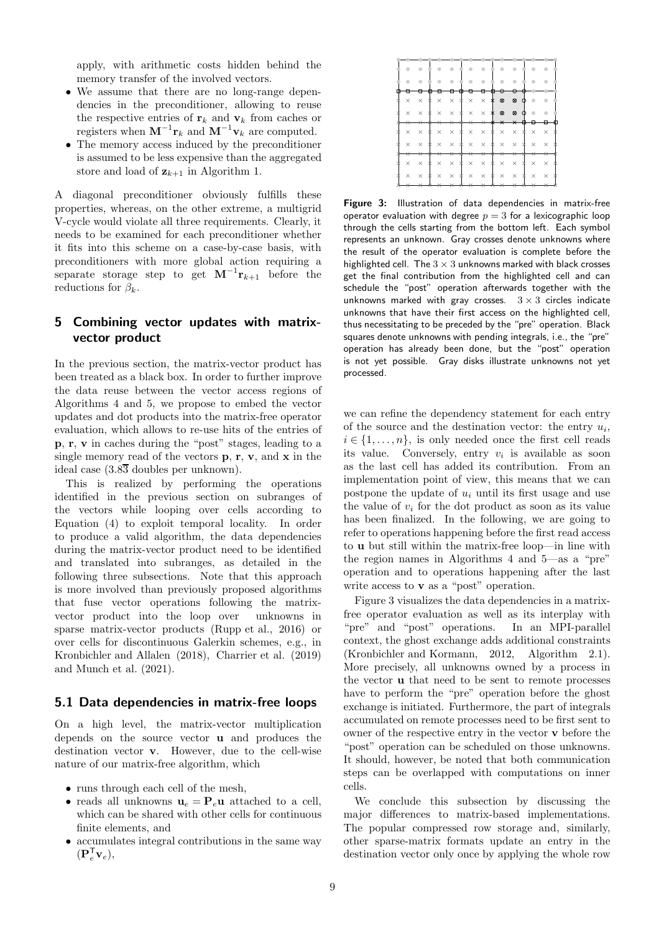apply, with arithmetic costs hidden behind the memory transfer of the involved vectors.

- We assume that there are no long-range dependencies in the preconditioner, allowing to reuse the respective entries of  $\mathbf{r}_k$  and  $\mathbf{v}_k$  from caches or registers when  $\mathbf{M}^{-1}\mathbf{r}_k$  and  $\mathbf{M}^{-1}\mathbf{v}_k$  are computed.
- The memory access induced by the preconditioner is assumed to be less expensive than the aggregated store and load of  $z_{k+1}$  in Algorithm [1.](#page-4-2)

A diagonal preconditioner obviously fulfills these properties, whereas, on the other extreme, a multigrid V-cycle would violate all three requirements. Clearly, it needs to be examined for each preconditioner whether it fits into this scheme on a case-by-case basis, with preconditioners with more global action requiring a separate storage step to get  $M^{-1}r_{k+1}$  before the reductions for  $\beta_k$ .

# <span id="page-8-0"></span>5 Combining vector updates with matrixvector product

In the previous section, the matrix-vector product has been treated as a black box. In order to further improve the data reuse between the vector access regions of Algorithms [4](#page-7-0) and [5,](#page-7-1) we propose to embed the vector updates and dot products into the matrix-free operator evaluation, which allows to re-use hits of the entries of p, r, v in caches during the "post" stages, leading to a single memory read of the vectors  $\bf{p}, \bf{r}, \bf{v},$  and  $\bf{x}$  in the ideal case  $(3.8\overline{3}$  doubles per unknown).

This is realized by performing the operations identified in the previous section on subranges of the vectors while looping over cells according to Equation [\(4\)](#page-2-1) to exploit temporal locality. In order to produce a valid algorithm, the data dependencies during the matrix-vector product need to be identified and translated into subranges, as detailed in the following three subsections. Note that this approach is more involved than previously proposed algorithms that fuse vector operations following the matrixvector product into the loop over unknowns in sparse matrix-vector products [\(Rupp et al.](#page-18-7), [2016\)](#page-18-7) or over cells for discontinuous Galerkin schemes, e.g., in [Kronbichler and Allalen \(2018\)](#page-17-26), [Charrier et al. \(2019\)](#page-17-27) and [Munch et al. \(2021](#page-17-18)).

### <span id="page-8-2"></span>5.1 Data dependencies in matrix-free loops

On a high level, the matrix-vector multiplication depends on the source vector u and produces the destination vector v. However, due to the cell-wise nature of our matrix-free algorithm, which

- runs through each cell of the mesh,
- reads all unknowns  $\mathbf{u}_e = \mathbf{P}_e \mathbf{u}$  attached to a cell, which can be shared with other cells for continuous finite elements, and
- accumulates integral contributions in the same way  $(\mathbf{P}_{e}^{\mathsf{T}} \mathbf{v}_{e}),$

<span id="page-8-1"></span>

|                   |              |        |          |         | ⊕ |                           |                                                           |                   |                            |                     |        |          |          |  |
|-------------------|--------------|--------|----------|---------|---|---------------------------|-----------------------------------------------------------|-------------------|----------------------------|---------------------|--------|----------|----------|--|
| $\times$ $\times$ |              |        |          |         |   |                           | $* \times \times * \times \times *$                       |                   | $^{\circ}$                 | $^{\circ}$          | $\Phi$ |          |          |  |
| $\times$          | $\times$     | $\ast$ |          |         |   |                           | $\times$ $\times$ $\times$ $\times$ $\times$ $\times$     |                   |                            | $\otimes$ $\otimes$ | $\Phi$ |          |          |  |
|                   |              |        | $\star$  | $\star$ |   | $\overline{\vphantom{1}}$ |                                                           | $\times$ $\times$ | $\times$ $\times$          |                     |        |          |          |  |
| $\times$          | $\times$     |        |          |         |   |                           | * × × * × × * ×                                           |                   |                            | $\times$ $*$        |        | $\times$ | $\times$ |  |
| $\times$          | $\times$     | $\ast$ |          |         |   |                           | $\times$ $\times$ $*$ $\times$ $\times$ $\times$ $\times$ |                   |                            |                     | ∗      | $\times$ | $\times$ |  |
|                   |              |        |          |         |   | $\ast$                    | ↠                                                         |                   |                            |                     |        |          |          |  |
| $\times$          | $\times$     | *      | $\times$ |         |   | $\times$ * $\times$       |                                                           |                   | $\times$ $\times$ $\times$ | $\times$            | *      | $\times$ | $\times$ |  |
| $\times$          | $\mathsf{X}$ |        |          |         |   |                           | $* \times \times * \times \times *$                       |                   | $\times$ $\times$          |                     | *      | $\times$ | $\times$ |  |
|                   |              |        |          |         |   |                           |                                                           |                   |                            |                     |        |          |          |  |

Figure 3: Illustration of data dependencies in matrix-free operator evaluation with degree  $p = 3$  for a lexicographic loop through the cells starting from the bottom left. Each symbol represents an unknown. Gray crosses denote unknowns where the result of the operator evaluation is complete before the highlighted cell. The  $3 \times 3$  unknowns marked with black crosses get the final contribution from the highlighted cell and can schedule the "post" operation afterwards together with the unknowns marked with gray crosses.  $3 \times 3$  circles indicate unknowns that have their first access on the highlighted cell, thus necessitating to be preceded by the "pre" operation. Black squares denote unknowns with pending integrals, i.e., the "pre" operation has already been done, but the "post" operation is not yet possible. Gray disks illustrate unknowns not yet processed.

we can refine the dependency statement for each entry of the source and the destination vector: the entry  $u_i$ ,  $i \in \{1, \ldots, n\}$ , is only needed once the first cell reads its value. Conversely, entry  $v_i$  is available as soon as the last cell has added its contribution. From an implementation point of view, this means that we can postpone the update of  $u_i$  until its first usage and use the value of  $v_i$  for the dot product as soon as its value has been finalized. In the following, we are going to refer to operations happening before the first read access to u but still within the matrix-free loop—in line with the region names in Algorithms [4](#page-7-0) and [5—](#page-7-1)as a "pre" operation and to operations happening after the last write access to **v** as a "post" operation.

Figure [3](#page-8-1) visualizes the data dependencies in a matrixfree operator evaluation as well as its interplay with "pre" and "post" operations. In an MPI-parallel context, the ghost exchange adds additional constraints [\(Kronbichler and Kormann, 2012,](#page-17-13) Algorithm 2.1). More precisely, all unknowns owned by a process in the vector u that need to be sent to remote processes have to perform the "pre" operation before the ghost exchange is initiated. Furthermore, the part of integrals accumulated on remote processes need to be first sent to owner of the respective entry in the vector v before the "post" operation can be scheduled on those unknowns. It should, however, be noted that both communication steps can be overlapped with computations on inner cells.

We conclude this subsection by discussing the major differences to matrix-based implementations. The popular compressed row storage and, similarly, other sparse-matrix formats update an entry in the destination vector only once by applying the whole row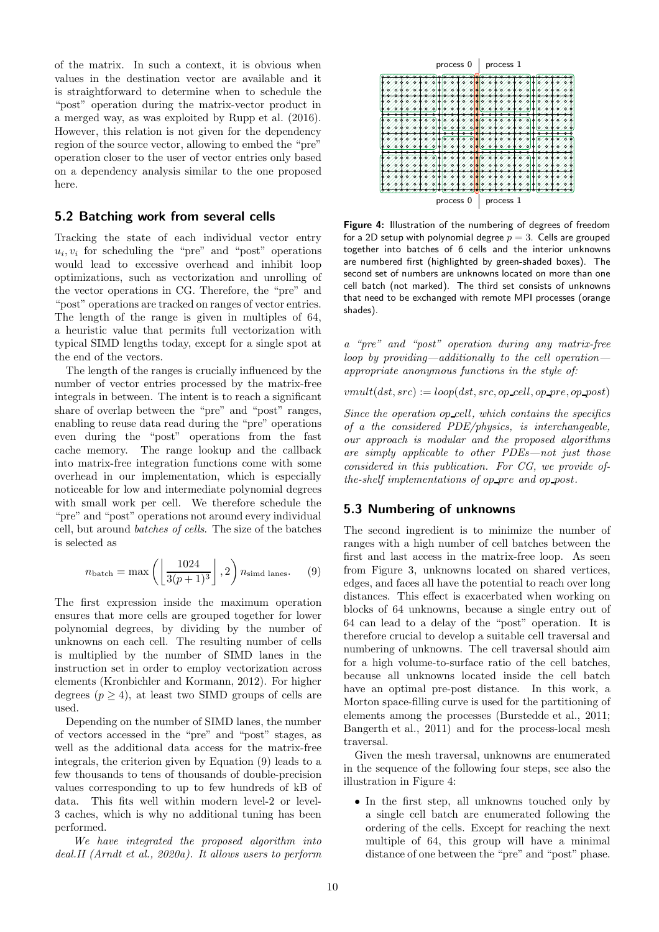of the matrix. In such a context, it is obvious when values in the destination vector are available and it is straightforward to determine when to schedule the "post" operation during the matrix-vector product in a merged way, as was exploited by [Rupp et al. \(2016\)](#page-18-7). However, this relation is not given for the dependency region of the source vector, allowing to embed the "pre" operation closer to the user of vector entries only based on a dependency analysis similar to the one proposed here.

### 5.2 Batching work from several cells

Tracking the state of each individual vector entry  $u_i, v_i$  for scheduling the "pre" and "post" operations would lead to excessive overhead and inhibit loop optimizations, such as vectorization and unrolling of the vector operations in CG. Therefore, the "pre" and "post" operations are tracked on ranges of vector entries. The length of the range is given in multiples of 64, a heuristic value that permits full vectorization with typical SIMD lengths today, except for a single spot at the end of the vectors.

The length of the ranges is crucially influenced by the number of vector entries processed by the matrix-free integrals in between. The intent is to reach a significant share of overlap between the "pre" and "post" ranges, enabling to reuse data read during the "pre" operations even during the "post" operations from the fast cache memory. The range lookup and the callback into matrix-free integration functions come with some overhead in our implementation, which is especially noticeable for low and intermediate polynomial degrees with small work per cell. We therefore schedule the "pre" and "post" operations not around every individual cell, but around *batches of cells*. The size of the batches is selected as

<span id="page-9-0"></span>
$$
n_{\text{batch}} = \max\left(\left\lfloor \frac{1024}{3(p+1)^3} \right\rfloor, 2\right) n_{\text{simd} \text{ lanes}}.\tag{9}
$$

The first expression inside the maximum operation ensures that more cells are grouped together for lower polynomial degrees, by dividing by the number of unknowns on each cell. The resulting number of cells is multiplied by the number of SIMD lanes in the instruction set in order to employ vectorization across elements [\(Kronbichler and Kormann, 2012\)](#page-17-13). For higher degrees  $(p \geq 4)$ , at least two SIMD groups of cells are used.

Depending on the number of SIMD lanes, the number of vectors accessed in the "pre" and "post" stages, as well as the additional data access for the matrix-free integrals, the criterion given by Equation [\(9\)](#page-9-0) leads to a few thousands to tens of thousands of double-precision values corresponding to up to few hundreds of kB of data. This fits well within modern level-2 or level-3 caches, which is why no additional tuning has been performed.

*We have integrated the proposed algorithm into deal.II [\(Arndt et al.](#page-16-5), [2020a](#page-16-5)). It allows users to perform*

<span id="page-9-1"></span>

Figure 4: Illustration of the numbering of degrees of freedom for a 2D setup with polynomial degree  $p = 3$ . Cells are grouped together into batches of 6 cells and the interior unknowns are numbered first (highlighted by green-shaded boxes). The second set of numbers are unknowns located on more than one cell batch (not marked). The third set consists of unknowns that need to be exchanged with remote MPI processes (orange shades).

*a "pre" and "post" operation during any matrix-free loop by providing—additionally to the cell operation appropriate anonymous functions in the style of:*

 $vmult(ds, src) := loop(ds, src, op_{cell}, op_{pre}, op_{post})$ 

*Since the operation* op cell*, which contains the specifics of a the considered PDE/physics, is interchangeable, our approach is modular and the proposed algorithms are simply applicable to other PDEs—not just those considered in this publication. For CG, we provide ofthe-shelf implementations of op\_pre and op\_post.* 

### 5.3 Numbering of unknowns

The second ingredient is to minimize the number of ranges with a high number of cell batches between the first and last access in the matrix-free loop. As seen from Figure [3,](#page-8-1) unknowns located on shared vertices, edges, and faces all have the potential to reach over long distances. This effect is exacerbated when working on blocks of 64 unknowns, because a single entry out of 64 can lead to a delay of the "post" operation. It is therefore crucial to develop a suitable cell traversal and numbering of unknowns. The cell traversal should aim for a high volume-to-surface ratio of the cell batches, because all unknowns located inside the cell batch have an optimal pre-post distance. In this work, a Morton space-filling curve is used for the partitioning of elements among the processes [\(Burstedde et al.](#page-16-7), [2011;](#page-16-7) [Bangerth et al., 2011\)](#page-16-6) and for the process-local mesh traversal.

Given the mesh traversal, unknowns are enumerated in the sequence of the following four steps, see also the illustration in Figure [4:](#page-9-1)

• In the first step, all unknowns touched only by a single cell batch are enumerated following the ordering of the cells. Except for reaching the next multiple of 64, this group will have a minimal distance of one between the "pre" and "post" phase.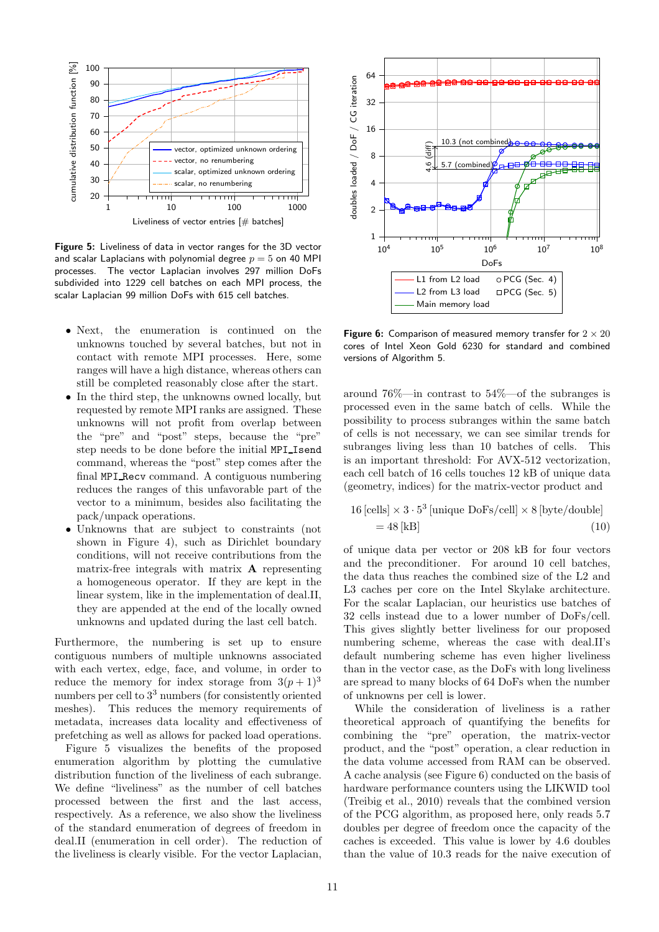<span id="page-10-0"></span>

Figure 5: Liveliness of data in vector ranges for the 3D vector and scalar Laplacians with polynomial degree  $p = 5$  on 40 MPI processes. The vector Laplacian involves 297 million DoFs subdivided into 1229 cell batches on each MPI process, the scalar Laplacian 99 million DoFs with 615 cell batches.

- Next, the enumeration is continued on the unknowns touched by several batches, but not in contact with remote MPI processes. Here, some ranges will have a high distance, whereas others can still be completed reasonably close after the start.
- In the third step, the unknowns owned locally, but requested by remote MPI ranks are assigned. These unknowns will not profit from overlap between the "pre" and "post" steps, because the "pre" step needs to be done before the initial MPI Isend command, whereas the "post" step comes after the final MPI Recv command. A contiguous numbering reduces the ranges of this unfavorable part of the vector to a minimum, besides also facilitating the pack/unpack operations.
- Unknowns that are subject to constraints (not shown in Figure [4\)](#page-9-1), such as Dirichlet boundary conditions, will not receive contributions from the matrix-free integrals with matrix A representing a homogeneous operator. If they are kept in the linear system, like in the implementation of deal.II, they are appended at the end of the locally owned unknowns and updated during the last cell batch.

Furthermore, the numbering is set up to ensure contiguous numbers of multiple unknowns associated with each vertex, edge, face, and volume, in order to reduce the memory for index storage from  $3(p+1)^3$ numbers per cell to  $3<sup>3</sup>$  numbers (for consistently oriented meshes). This reduces the memory requirements of metadata, increases data locality and effectiveness of prefetching as well as allows for packed load operations.

Figure [5](#page-10-0) visualizes the benefits of the proposed enumeration algorithm by plotting the cumulative distribution function of the liveliness of each subrange. We define "liveliness" as the number of cell batches processed between the first and the last access, respectively. As a reference, we also show the liveliness of the standard enumeration of degrees of freedom in deal.II (enumeration in cell order). The reduction of the liveliness is clearly visible. For the vector Laplacian,

<span id="page-10-1"></span>

Figure 6: Comparison of measured memory transfer for  $2 \times 20$ cores of Intel Xeon Gold 6230 for standard and combined versions of Algorithm 5.

around 76%—in contrast to 54%—of the subranges is processed even in the same batch of cells. While the possibility to process subranges within the same batch of cells is not necessary, we can see similar trends for subranges living less than 10 batches of cells. This is an important threshold: For AVX-512 vectorization, each cell batch of 16 cells touches 12 kB of unique data (geometry, indices) for the matrix-vector product and

<span id="page-10-2"></span>
$$
16 [\text{cells}] \times 3 \cdot 5^3 [\text{unique DoFs/cell}] \times 8 [\text{byte/double}]
$$
  
= 48 [kB] (10)

of unique data per vector or 208 kB for four vectors and the preconditioner. For around 10 cell batches, the data thus reaches the combined size of the L2 and L3 caches per core on the Intel Skylake architecture. For the scalar Laplacian, our heuristics use batches of 32 cells instead due to a lower number of DoFs/cell. This gives slightly better liveliness for our proposed numbering scheme, whereas the case with deal.II's default numbering scheme has even higher liveliness than in the vector case, as the DoFs with long liveliness are spread to many blocks of 64 DoFs when the number of unknowns per cell is lower.

While the consideration of liveliness is a rather theoretical approach of quantifying the benefits for combining the "pre" operation, the matrix-vector product, and the "post" operation, a clear reduction in the data volume accessed from RAM can be observed. A cache analysis (see Figure [6\)](#page-10-1) conducted on the basis of hardware performance counters using the LIKWID tool [\(Treibig et al.](#page-18-6), [2010\)](#page-18-6) reveals that the combined version of the PCG algorithm, as proposed here, only reads 5.7 doubles per degree of freedom once the capacity of the caches is exceeded. This value is lower by 4.6 doubles than the value of 10.3 reads for the naive execution of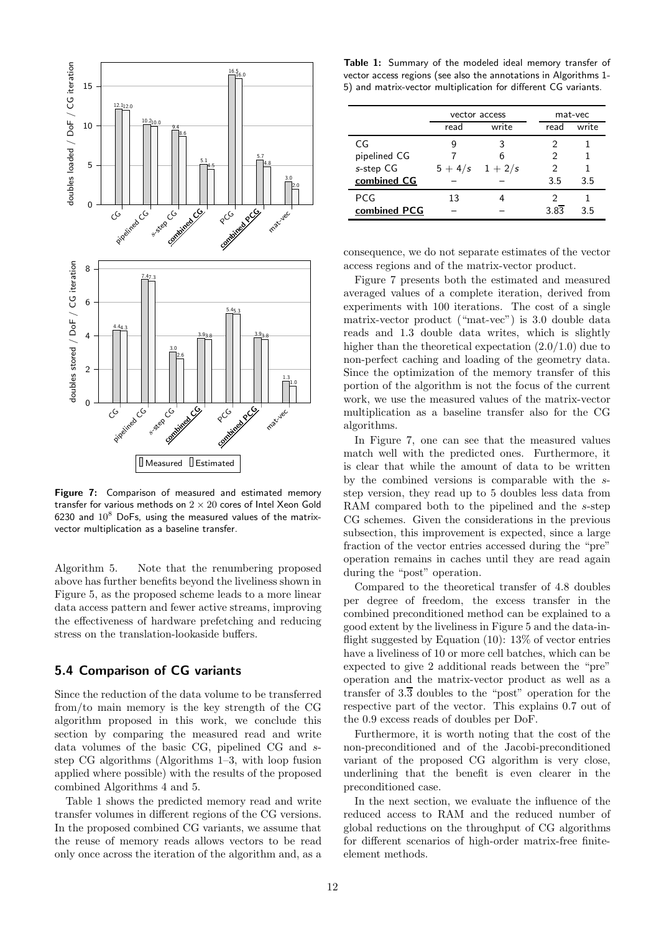<span id="page-11-1"></span>

Figure 7: Comparison of measured and estimated memory transfer for various methods on  $2 \times 20$  cores of Intel Xeon Gold 6230 and  $10^8$  DoFs, using the measured values of the matrixvector multiplication as a baseline transfer.

Algorithm [5.](#page-7-1) Note that the renumbering proposed above has further benefits beyond the liveliness shown in Figure [5,](#page-10-0) as the proposed scheme leads to a more linear data access pattern and fewer active streams, improving the effectiveness of hardware prefetching and reducing stress on the translation-lookaside buffers.

# <span id="page-11-2"></span>5.4 Comparison of CG variants

Since the reduction of the data volume to be transferred from/to main memory is the key strength of the CG algorithm proposed in this work, we conclude this section by comparing the measured read and write data volumes of the basic CG, pipelined CG and sstep CG algorithms (Algorithms [1–](#page-4-2)[3,](#page-5-1) with loop fusion applied where possible) with the results of the proposed combined Algorithms [4](#page-7-0) and [5.](#page-7-1)

Table [1](#page-11-0) shows the predicted memory read and write transfer volumes in different regions of the CG versions. In the proposed combined CG variants, we assume that the reuse of memory reads allows vectors to be read only once across the iteration of the algorithm and, as a

<span id="page-11-0"></span>Table 1: Summary of the modeled ideal memory transfer of vector access regions (see also the annotations in Algorithms [1-](#page-4-2) [5\)](#page-7-1) and matrix-vector multiplication for different CG variants.

|              | vector access |                     | mat-vec |       |
|--------------|---------------|---------------------|---------|-------|
|              | read          | write               | read    | write |
| CG           |               |                     | 2       |       |
| pipelined CG |               | 6                   | 2       |       |
| s-step CG    |               | $5 + 4/s$ $1 + 2/s$ | 2       |       |
| combined CG  |               |                     | 3.5     | 3.5   |
| PCG          | 13            |                     |         |       |
| combined PCG |               |                     | 3.83    | 3.5   |

consequence, we do not separate estimates of the vector access regions and of the matrix-vector product.

Figure [7](#page-11-1) presents both the estimated and measured averaged values of a complete iteration, derived from experiments with 100 iterations. The cost of a single matrix-vector product ("mat-vec") is 3.0 double data reads and 1.3 double data writes, which is slightly higher than the theoretical expectation  $(2.0/1.0)$  due to non-perfect caching and loading of the geometry data. Since the optimization of the memory transfer of this portion of the algorithm is not the focus of the current work, we use the measured values of the matrix-vector multiplication as a baseline transfer also for the CG algorithms.

In Figure [7,](#page-11-1) one can see that the measured values match well with the predicted ones. Furthermore, it is clear that while the amount of data to be written by the combined versions is comparable with the sstep version, they read up to 5 doubles less data from RAM compared both to the pipelined and the s-step CG schemes. Given the considerations in the previous subsection, this improvement is expected, since a large fraction of the vector entries accessed during the "pre" operation remains in caches until they are read again during the "post" operation.

Compared to the theoretical transfer of 4.8 doubles per degree of freedom, the excess transfer in the combined preconditioned method can be explained to a good extent by the liveliness in Figure [5](#page-10-0) and the data-inflight suggested by Equation  $(10)$ : 13% of vector entries have a liveliness of 10 or more cell batches, which can be expected to give 2 additional reads between the "pre" operation and the matrix-vector product as well as a transfer of  $3.\overline{3}$  doubles to the "post" operation for the respective part of the vector. This explains 0.7 out of the 0.9 excess reads of doubles per DoF.

Furthermore, it is worth noting that the cost of the non-preconditioned and of the Jacobi-preconditioned variant of the proposed CG algorithm is very close, underlining that the benefit is even clearer in the preconditioned case.

In the next section, we evaluate the influence of the reduced access to RAM and the reduced number of global reductions on the throughput of CG algorithms for different scenarios of high-order matrix-free finiteelement methods.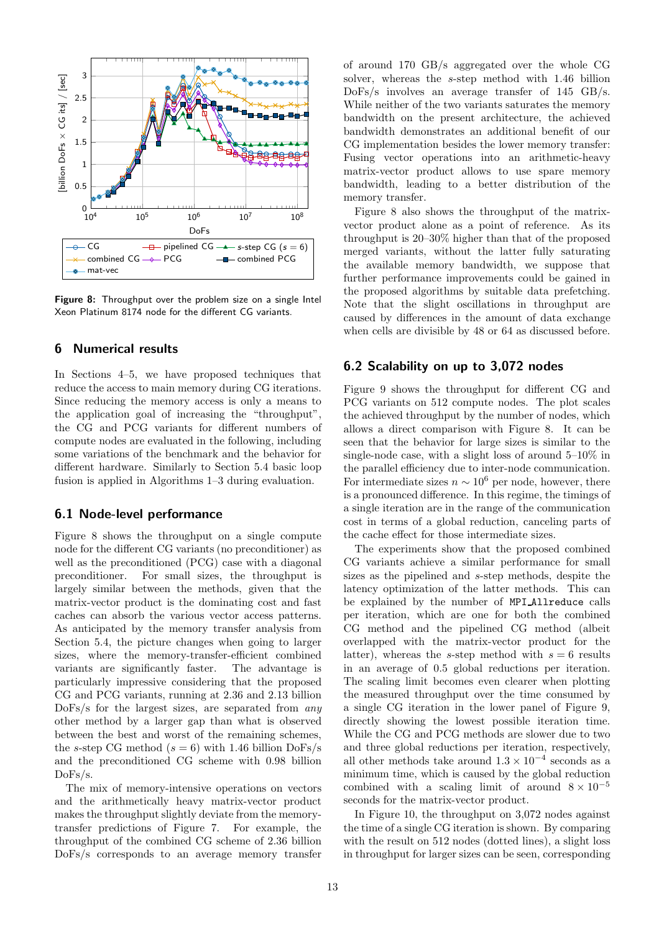<span id="page-12-1"></span>

Figure 8: Throughput over the problem size on a single Intel Xeon Platinum 8174 node for the different CG variants.

# <span id="page-12-0"></span>6 Numerical results

In Sections [4–](#page-6-0)[5,](#page-8-0) we have proposed techniques that reduce the access to main memory during CG iterations. Since reducing the memory access is only a means to the application goal of increasing the "throughput", the CG and PCG variants for different numbers of compute nodes are evaluated in the following, including some variations of the benchmark and the behavior for different hardware. Similarly to Section [5.4](#page-11-2) basic loop fusion is applied in Algorithms [1–](#page-4-2)[3](#page-5-1) during evaluation.

### <span id="page-12-2"></span>6.1 Node-level performance

Figure [8](#page-12-1) shows the throughput on a single compute node for the different CG variants (no preconditioner) as well as the preconditioned (PCG) case with a diagonal preconditioner. For small sizes, the throughput is largely similar between the methods, given that the matrix-vector product is the dominating cost and fast caches can absorb the various vector access patterns. As anticipated by the memory transfer analysis from Section [5.4,](#page-11-2) the picture changes when going to larger sizes, where the memory-transfer-efficient combined variants are significantly faster. The advantage is particularly impressive considering that the proposed CG and PCG variants, running at 2.36 and 2.13 billion DoFs/s for the largest sizes, are separated from *any* other method by a larger gap than what is observed between the best and worst of the remaining schemes, the s-step CG method  $(s = 6)$  with 1.46 billion DoFs/s and the preconditioned CG scheme with 0.98 billion DoFs/s.

The mix of memory-intensive operations on vectors and the arithmetically heavy matrix-vector product makes the throughput slightly deviate from the memorytransfer predictions of Figure [7.](#page-11-1) For example, the throughput of the combined CG scheme of 2.36 billion DoFs/s corresponds to an average memory transfer

of around 170 GB/s aggregated over the whole CG solver, whereas the s-step method with 1.46 billion DoFs/s involves an average transfer of 145 GB/s. While neither of the two variants saturates the memory bandwidth on the present architecture, the achieved bandwidth demonstrates an additional benefit of our CG implementation besides the lower memory transfer: Fusing vector operations into an arithmetic-heavy matrix-vector product allows to use spare memory bandwidth, leading to a better distribution of the memory transfer.

Figure [8](#page-12-1) also shows the throughput of the matrixvector product alone as a point of reference. As its throughput is 20–30% higher than that of the proposed merged variants, without the latter fully saturating the available memory bandwidth, we suppose that further performance improvements could be gained in the proposed algorithms by suitable data prefetching. Note that the slight oscillations in throughput are caused by differences in the amount of data exchange when cells are divisible by 48 or 64 as discussed before.

### 6.2 Scalability on up to 3,072 nodes

Figure [9](#page-13-0) shows the throughput for different CG and PCG variants on 512 compute nodes. The plot scales the achieved throughput by the number of nodes, which allows a direct comparison with Figure [8.](#page-12-1) It can be seen that the behavior for large sizes is similar to the single-node case, with a slight loss of around  $5-10\%$  in the parallel efficiency due to inter-node communication. For intermediate sizes  $n \sim 10^6$  per node, however, there is a pronounced difference. In this regime, the timings of a single iteration are in the range of the communication cost in terms of a global reduction, canceling parts of the cache effect for those intermediate sizes.

The experiments show that the proposed combined CG variants achieve a similar performance for small sizes as the pipelined and s-step methods, despite the latency optimization of the latter methods. This can be explained by the number of MPI Allreduce calls per iteration, which are one for both the combined CG method and the pipelined CG method (albeit overlapped with the matrix-vector product for the latter), whereas the s-step method with  $s = 6$  results in an average of 0.5 global reductions per iteration. The scaling limit becomes even clearer when plotting the measured throughput over the time consumed by a single CG iteration in the lower panel of Figure [9,](#page-13-0) directly showing the lowest possible iteration time. While the CG and PCG methods are slower due to two and three global reductions per iteration, respectively, all other methods take around  $1.3 \times 10^{-4}$  seconds as a minimum time, which is caused by the global reduction combined with a scaling limit of around  $8 \times 10^{-5}$ seconds for the matrix-vector product.

In Figure [10,](#page-13-1) the throughput on 3,072 nodes against the time of a single CG iteration is shown. By comparing with the result on 512 nodes (dotted lines), a slight loss in throughput for larger sizes can be seen, corresponding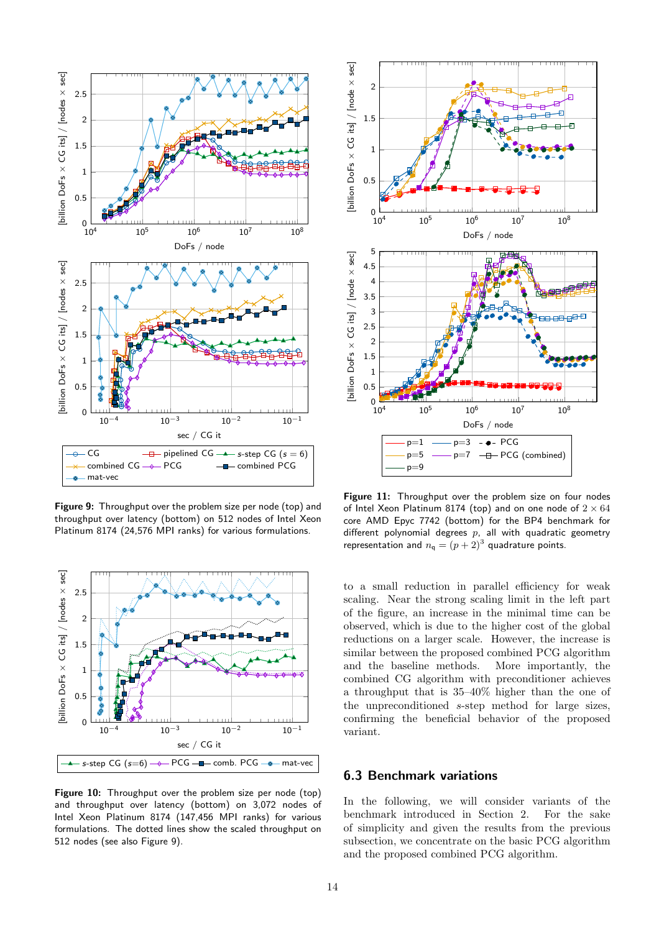<span id="page-13-0"></span>

Figure 9: Throughput over the problem size per node (top) and throughput over latency (bottom) on 512 nodes of Intel Xeon Platinum 8174 (24,576 MPI ranks) for various formulations.

<span id="page-13-1"></span>

Figure 10: Throughput over the problem size per node (top) and throughput over latency (bottom) on 3,072 nodes of Intel Xeon Platinum 8174 (147,456 MPI ranks) for various formulations. The dotted lines show the scaled throughput on 512 nodes (see also Figure [9\)](#page-13-0).

<span id="page-13-2"></span>

Figure 11: Throughput over the problem size on four nodes of Intel Xeon Platinum 8174 (top) and on one node of  $2 \times 64$ core AMD Epyc 7742 (bottom) for the BP4 benchmark for different polynomial degrees  $p$ , all with quadratic geometry representation and  $n_{\mathsf{q}} = (p+2)^3$  quadrature points.

to a small reduction in parallel efficiency for weak scaling. Near the strong scaling limit in the left part of the figure, an increase in the minimal time can be observed, which is due to the higher cost of the global reductions on a larger scale. However, the increase is similar between the proposed combined PCG algorithm and the baseline methods. More importantly, the combined CG algorithm with preconditioner achieves a throughput that is 35–40% higher than the one of the unpreconditioned s-step method for large sizes, confirming the beneficial behavior of the proposed variant.

## 6.3 Benchmark variations

In the following, we will consider variants of the benchmark introduced in Section [2.](#page-1-1) For the sake of simplicity and given the results from the previous subsection, we concentrate on the basic PCG algorithm and the proposed combined PCG algorithm.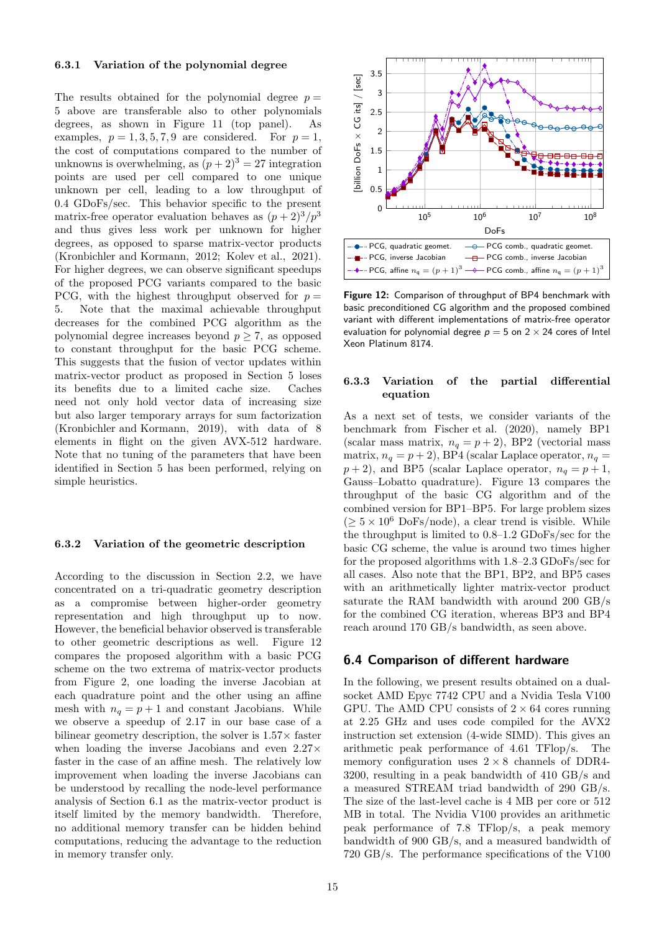### <span id="page-14-1"></span>6.3.1 Variation of the polynomial degree

The results obtained for the polynomial degree  $p =$ 5 above are transferable also to other polynomials degrees, as shown in Figure [11](#page-13-2) (top panel). As examples,  $p = 1, 3, 5, 7, 9$  are considered. For  $p = 1$ , the cost of computations compared to the number of unknowns is overwhelming, as  $(p+2)^3 = 27$  integration points are used per cell compared to one unique unknown per cell, leading to a low throughput of 0.4 GDoFs/sec. This behavior specific to the present matrix-free operator evaluation behaves as  $(p+2)^3/p^3$ and thus gives less work per unknown for higher degrees, as opposed to sparse matrix-vector products [\(Kronbichler and Kormann, 2012](#page-17-13); [Kolev et al.](#page-17-28), [2021\)](#page-17-28). For higher degrees, we can observe significant speedups of the proposed PCG variants compared to the basic PCG, with the highest throughput observed for  $p =$ 5. Note that the maximal achievable throughput decreases for the combined PCG algorithm as the polynomial degree increases beyond  $p \geq 7$ , as opposed to constant throughput for the basic PCG scheme. This suggests that the fusion of vector updates within matrix-vector product as proposed in Section [5](#page-8-0) loses its benefits due to a limited cache size. Caches need not only hold vector data of increasing size but also larger temporary arrays for sum factorization [\(Kronbichler and Kormann, 2019\)](#page-17-14), with data of 8 elements in flight on the given AVX-512 hardware. Note that no tuning of the parameters that have been identified in Section [5](#page-8-0) has been performed, relying on simple heuristics.

#### 6.3.2 Variation of the geometric description

According to the discussion in Section [2.2,](#page-3-2) we have concentrated on a tri-quadratic geometry description as a compromise between higher-order geometry representation and high throughput up to now. However, the beneficial behavior observed is transferable to other geometric descriptions as well. Figure [12](#page-14-0) compares the proposed algorithm with a basic PCG scheme on the two extrema of matrix-vector products from Figure [2,](#page-3-1) one loading the inverse Jacobian at each quadrature point and the other using an affine mesh with  $n_q = p + 1$  and constant Jacobians. While we observe a speedup of 2.17 in our base case of a bilinear geometry description, the solver is  $1.57\times$  faster when loading the inverse Jacobians and even  $2.27\times$ faster in the case of an affine mesh. The relatively low improvement when loading the inverse Jacobians can be understood by recalling the node-level performance analysis of Section [6.1](#page-12-2) as the matrix-vector product is itself limited by the memory bandwidth. Therefore, no additional memory transfer can be hidden behind computations, reducing the advantage to the reduction in memory transfer only.

<span id="page-14-0"></span>

Figure 12: Comparison of throughput of BP4 benchmark with basic preconditioned CG algorithm and the proposed combined variant with different implementations of matrix-free operator evaluation for polynomial degree  $p = 5$  on  $2 \times 24$  cores of Intel Xeon Platinum 8174.

### 6.3.3 Variation of the partial differential equation

As a next set of tests, we consider variants of the benchmark from [Fischer et al. \(2020\)](#page-17-5), namely BP1 (scalar mass matrix,  $n_q = p + 2$ ), BP2 (vectorial mass matrix,  $n_q = p + 2$ ), BP4 (scalar Laplace operator,  $n_q =$  $p+2$ ), and BP5 (scalar Laplace operator,  $n_q = p+1$ , Gauss–Lobatto quadrature). Figure [13](#page-15-0) compares the throughput of the basic CG algorithm and of the combined version for BP1–BP5. For large problem sizes  $(≥ 5 × 10<sup>6</sup> DoFs/node)$ , a clear trend is visible. While the throughput is limited to 0.8–1.2 GDoFs/sec for the basic CG scheme, the value is around two times higher for the proposed algorithms with 1.8–2.3 GDoFs/sec for all cases. Also note that the BP1, BP2, and BP5 cases with an arithmetically lighter matrix-vector product saturate the RAM bandwidth with around 200 GB/s for the combined CG iteration, whereas BP3 and BP4 reach around 170 GB/s bandwidth, as seen above.

### 6.4 Comparison of different hardware

In the following, we present results obtained on a dualsocket AMD Epyc 7742 CPU and a Nvidia Tesla V100 GPU. The AMD CPU consists of  $2 \times 64$  cores running at 2.25 GHz and uses code compiled for the AVX2 instruction set extension (4-wide SIMD). This gives an arithmetic peak performance of 4.61 TFlop/s. The memory configuration uses  $2 \times 8$  channels of DDR4-3200, resulting in a peak bandwidth of 410 GB/s and a measured STREAM triad bandwidth of 290 GB/s. The size of the last-level cache is 4 MB per core or 512 MB in total. The Nvidia V100 provides an arithmetic peak performance of 7.8 TFlop/s, a peak memory bandwidth of 900 GB/s, and a measured bandwidth of 720 GB/s. The performance specifications of the V100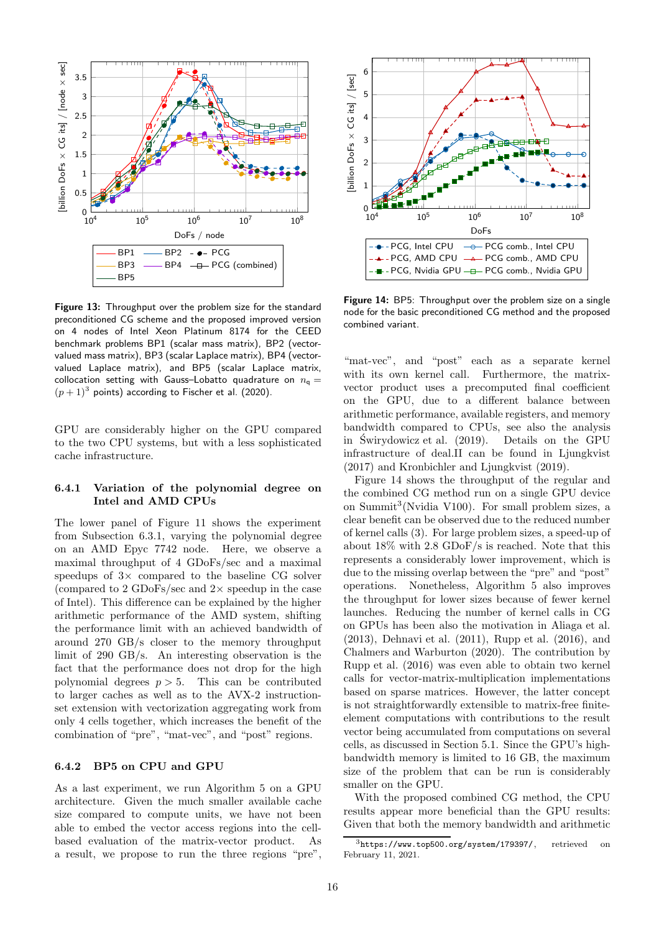<span id="page-15-0"></span>

Figure 13: Throughput over the problem size for the standard preconditioned CG scheme and the proposed improved version on 4 nodes of Intel Xeon Platinum 8174 for the CEED benchmark problems BP1 (scalar mass matrix), BP2 (vectorvalued mass matrix), BP3 (scalar Laplace matrix), BP4 (vectorvalued Laplace matrix), and BP5 (scalar Laplace matrix, collocation setting with Gauss-Lobatto quadrature on  $n_q =$  $(p+1)^3$  points) according to [Fischer et al. \(2020\)](#page-17-5).

GPU are considerably higher on the GPU compared to the two CPU systems, but with a less sophisticated cache infrastructure.

### 6.4.1 Variation of the polynomial degree on Intel and AMD CPUs

The lower panel of Figure [11](#page-13-2) shows the experiment from Subsection [6.3.1,](#page-14-1) varying the polynomial degree on an AMD Epyc 7742 node. Here, we observe a maximal throughput of 4 GDoFs/sec and a maximal speedups of  $3\times$  compared to the baseline CG solver (compared to 2 GDoFs/sec and  $2\times$  speedup in the case of Intel). This difference can be explained by the higher arithmetic performance of the AMD system, shifting the performance limit with an achieved bandwidth of around 270 GB/s closer to the memory throughput limit of 290 GB/s. An interesting observation is the fact that the performance does not drop for the high polynomial degrees  $p > 5$ . This can be contributed to larger caches as well as to the AVX-2 instructionset extension with vectorization aggregating work from only 4 cells together, which increases the benefit of the combination of "pre", "mat-vec", and "post" regions.

#### 6.4.2 BP5 on CPU and GPU

As a last experiment, we run Algorithm [5](#page-7-1) on a GPU architecture. Given the much smaller available cache size compared to compute units, we have not been able to embed the vector access regions into the cellbased evaluation of the matrix-vector product. As a result, we propose to run the three regions "pre",

<span id="page-15-1"></span>

Figure 14: BP5: Throughput over the problem size on a single node for the basic preconditioned CG method and the proposed combined variant.

"mat-vec", and "post" each as a separate kernel with its own kernel call. Furthermore, the matrixvector product uses a precomputed final coefficient on the GPU, due to a different balance between arithmetic performance, available registers, and memory bandwidth compared to CPUs, see also the analysis in [Swirydowicz et al. \(2019\)](#page-18-3). Details on the GPU infrastructure of deal.II can be found in [Ljungkvist](#page-17-29) [\(2017\)](#page-17-29) and [Kronbichler and Ljungkvist \(2019\)](#page-17-19).

Figure [14](#page-15-1) shows the throughput of the regular and the combined CG method run on a single GPU device on Summit[3](#page-15-2) (Nvidia V100). For small problem sizes, a clear benefit can be observed due to the reduced number of kernel calls (3). For large problem sizes, a speed-up of about 18% with 2.8 GDoF/s is reached. Note that this represents a considerably lower improvement, which is due to the missing overlap between the "pre" and "post" operations. Nonetheless, Algorithm [5](#page-7-1) also improves the throughput for lower sizes because of fewer kernel launches. Reducing the number of kernel calls in CG on GPUs has been also the motivation in [Aliaga et al.](#page-16-8) [\(2013\)](#page-16-8), [Dehnavi et al. \(2011\)](#page-17-30), [Rupp et al. \(2016\)](#page-18-7), and [Chalmers and Warburton \(2020](#page-16-9)). The contribution by [Rupp et al. \(2016\)](#page-18-7) was even able to obtain two kernel calls for vector-matrix-multiplication implementations based on sparse matrices. However, the latter concept is not straightforwardly extensible to matrix-free finiteelement computations with contributions to the result vector being accumulated from computations on several cells, as discussed in Section [5.1.](#page-8-2) Since the GPU's highbandwidth memory is limited to 16 GB, the maximum size of the problem that can be run is considerably smaller on the GPU.

With the proposed combined CG method, the CPU results appear more beneficial than the GPU results: Given that both the memory bandwidth and arithmetic

<span id="page-15-2"></span> $3$ <https://www.top500.org/system/179397/>, retrieved February 11, 2021.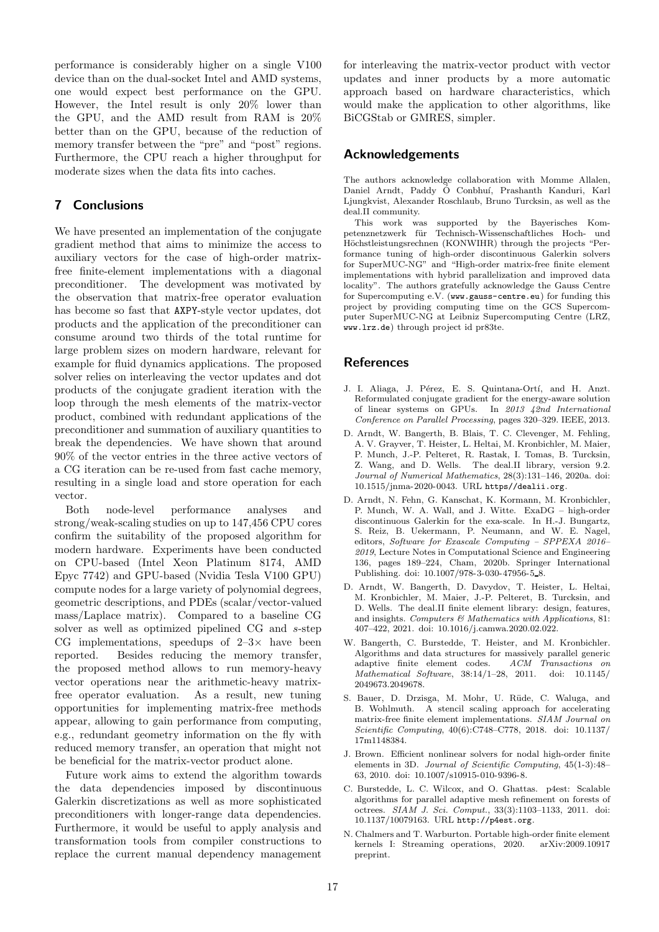performance is considerably higher on a single V100 device than on the dual-socket Intel and AMD systems, one would expect best performance on the GPU. However, the Intel result is only 20% lower than the GPU, and the AMD result from RAM is 20% better than on the GPU, because of the reduction of memory transfer between the "pre" and "post" regions. Furthermore, the CPU reach a higher throughput for moderate sizes when the data fits into caches.

# <span id="page-16-2"></span>7 Conclusions

We have presented an implementation of the conjugate gradient method that aims to minimize the access to auxiliary vectors for the case of high-order matrixfree finite-element implementations with a diagonal preconditioner. The development was motivated by the observation that matrix-free operator evaluation has become so fast that AXPY-style vector updates, dot products and the application of the preconditioner can consume around two thirds of the total runtime for large problem sizes on modern hardware, relevant for example for fluid dynamics applications. The proposed solver relies on interleaving the vector updates and dot products of the conjugate gradient iteration with the loop through the mesh elements of the matrix-vector product, combined with redundant applications of the preconditioner and summation of auxiliary quantities to break the dependencies. We have shown that around 90% of the vector entries in the three active vectors of a CG iteration can be re-used from fast cache memory, resulting in a single load and store operation for each vector.

Both node-level performance analyses and strong/weak-scaling studies on up to 147,456 CPU cores confirm the suitability of the proposed algorithm for modern hardware. Experiments have been conducted on CPU-based (Intel Xeon Platinum 8174, AMD Epyc 7742) and GPU-based (Nvidia Tesla V100 GPU) compute nodes for a large variety of polynomial degrees, geometric descriptions, and PDEs (scalar/vector-valued mass/Laplace matrix). Compared to a baseline CG solver as well as optimized pipelined CG and s-step CG implementations, speedups of  $2-3\times$  have been<br>reported. Besides reducing the memory transfer. Besides reducing the memory transfer, the proposed method allows to run memory-heavy vector operations near the arithmetic-heavy matrixfree operator evaluation. As a result, new tuning opportunities for implementing matrix-free methods appear, allowing to gain performance from computing, e.g., redundant geometry information on the fly with reduced memory transfer, an operation that might not be beneficial for the matrix-vector product alone.

Future work aims to extend the algorithm towards the data dependencies imposed by discontinuous Galerkin discretizations as well as more sophisticated preconditioners with longer-range data dependencies. Furthermore, it would be useful to apply analysis and transformation tools from compiler constructions to replace the current manual dependency management for interleaving the matrix-vector product with vector updates and inner products by a more automatic approach based on hardware characteristics, which would make the application to other algorithms, like BiCGStab or GMRES, simpler.

# Acknowledgements

The authors acknowledge collaboration with Momme Allalen, Daniel Arndt, Paddy Ó Conbhuí, Prashanth Kanduri, Karl Ljungkvist, Alexander Roschlaub, Bruno Turcksin, as well as the deal.II community.

This work was supported by the Bayerisches Kompetenznetzwerk für Technisch-Wissenschaftliches Hoch- und Höchstleistungsrechnen (KONWIHR) through the projects "Performance tuning of high-order discontinuous Galerkin solvers for SuperMUC-NG" and "High-order matrix-free finite element implementations with hybrid parallelization and improved data locality". The authors gratefully acknowledge the Gauss Centre for Supercomputing e.V. (<www.gauss-centre.eu>) for funding this project by providing computing time on the GCS Supercomputer SuperMUC-NG at Leibniz Supercomputing Centre (LRZ, <www.lrz.de>) through project id pr83te.

# References

- <span id="page-16-8"></span>J. I. Aliaga, J. Pérez, E. S. Quintana-Ortí, and H. Anzt. Reformulated conjugate gradient for the energy-aware solution of linear systems on GPUs. In *2013 42nd International Conference on Parallel Processing*, pages 320–329. IEEE, 2013.
- <span id="page-16-5"></span>D. Arndt, W. Bangerth, B. Blais, T. C. Clevenger, M. Fehling, A. V. Grayver, T. Heister, L. Heltai, M. Kronbichler, M. Maier, P. Munch, J.-P. Pelteret, R. Rastak, I. Tomas, B. Turcksin, Z. Wang, and D. Wells. The deal.II library, version 9.2. *Journal of Numerical Mathematics*, 28(3):131–146, 2020a. doi: 10.1515/jnma-2020-0043. URL <https//dealii.org>.
- <span id="page-16-1"></span>D. Arndt, N. Fehn, G. Kanschat, K. Kormann, M. Kronbichler, P. Munch, W. A. Wall, and J. Witte. ExaDG – high-order discontinuous Galerkin for the exa-scale. In H.-J. Bungartz, S. Reiz, B. Uekermann, P. Neumann, and W. E. Nagel, editors, *Software for Exascale Computing – SPPEXA 2016– 2019*, Lecture Notes in Computational Science and Engineering 136, pages 189–224, Cham, 2020b. Springer International Publishing. doi: 10.1007/978-3-030-47956-5 8.
- <span id="page-16-0"></span>D. Arndt, W. Bangerth, D. Davydov, T. Heister, L. Heltai, M. Kronbichler, M. Maier, J.-P. Pelteret, B. Turcksin, and D. Wells. The deal.II finite element library: design, features, and insights. *Computers & Mathematics with Applications*, 81: 407–422, 2021. doi: 10.1016/j.camwa.2020.02.022.
- <span id="page-16-6"></span>W. Bangerth, C. Burstedde, T. Heister, and M. Kronbichler. Algorithms and data structures for massively parallel generic adaptive finite element codes. *ACM Transactions on Mathematical Software*, 38:14/1–28, 2011. doi: 10.1145/ 2049673.2049678.
- <span id="page-16-3"></span>S. Bauer, D. Drzisga, M. Mohr, U. Rüde, C. Waluga, and B. Wohlmuth. A stencil scaling approach for accelerating matrix-free finite element implementations. *SIAM Journal on Scientific Computing*, 40(6):C748–C778, 2018. doi: 10.1137/ 17m1148384.
- <span id="page-16-4"></span>J. Brown. Efficient nonlinear solvers for nodal high-order finite elements in 3D. *Journal of Scientific Computing*, 45(1-3):48– 63, 2010. doi: 10.1007/s10915-010-9396-8.
- <span id="page-16-7"></span>C. Burstedde, L. C. Wilcox, and O. Ghattas. p4est: Scalable algorithms for parallel adaptive mesh refinement on forests of octrees. *SIAM J. Sci. Comput.*, 33(3):1103–1133, 2011. doi: 10.1137/10079163. URL <http://p4est.org>.
- <span id="page-16-9"></span>N. Chalmers and T. Warburton. Portable high-order finite element kernels I: Streaming operations, 2020. arXiv:2009.10917 preprint.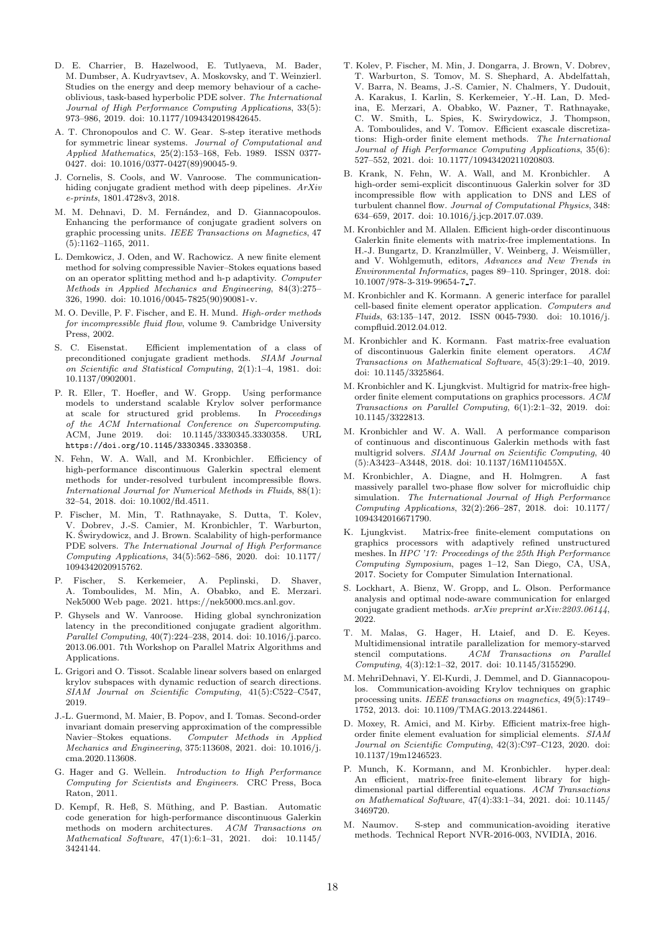- <span id="page-17-27"></span>D. E. Charrier, B. Hazelwood, E. Tutlyaeva, M. Bader, M. Dumbser, A. Kudryavtsev, A. Moskovsky, and T. Weinzierl. Studies on the energy and deep memory behaviour of a cacheoblivious, task-based hyperbolic PDE solver. *The International Journal of High Performance Computing Applications*, 33(5): 973–986, 2019. doi: 10.1177/1094342019842645.
- <span id="page-17-8"></span>A. T. Chronopoulos and C. W. Gear. S-step iterative methods for symmetric linear systems. *Journal of Computational and Applied Mathematics*, 25(2):153–168, Feb. 1989. ISSN 0377- 0427. doi: 10.1016/0377-0427(89)90045-9.
- <span id="page-17-7"></span>J. Cornelis, S. Cools, and W. Vanroose. The communicationhiding conjugate gradient method with deep pipelines. *ArXiv e-prints*, 1801.4728v3, 2018.
- <span id="page-17-30"></span>M. M. Dehnavi, D. M. Fernández, and D. Giannacopoulos. Enhancing the performance of conjugate gradient solvers on graphic processing units. *IEEE Transactions on Magnetics*, 47 (5):1162–1165, 2011.
- <span id="page-17-2"></span>L. Demkowicz, J. Oden, and W. Rachowicz. A new finite element method for solving compressible Navier–Stokes equations based on an operator splitting method and h-p adaptivity. *Computer Methods in Applied Mechanics and Engineering*, 84(3):275– 326, 1990. doi: 10.1016/0045-7825(90)90081-v.
- <span id="page-17-0"></span>M. O. Deville, P. F. Fischer, and E. H. Mund. *High-order methods for incompressible fluid flow*, volume 9. Cambridge University Press, 2002.
- <span id="page-17-11"></span>S. C. Eisenstat. Efficient implementation of a class of preconditioned conjugate gradient methods. *SIAM Journal on Scientific and Statistical Computing*, 2(1):1–4, 1981. doi: 10.1137/0902001.
- <span id="page-17-9"></span>P. R. Eller, T. Hoefler, and W. Gropp. Using performance models to understand scalable Krylov solver performance<br>at scale for structured grid problems. In Proceedings at scale for structured grid problems. *of the ACM International Conference on Supercomputing*. ACM, June 2019. doi: 10.1145/3330345.3330358. URL <https://doi.org/10.1145/3330345.3330358>.
- <span id="page-17-1"></span>N. Fehn, W. A. Wall, and M. Kronbichler. Efficiency of high-performance discontinuous Galerkin spectral element methods for under-resolved turbulent incompressible flows. *International Journal for Numerical Methods in Fluids*, 88(1): 32–54, 2018. doi: 10.1002/fld.4511.
- <span id="page-17-5"></span>P. Fischer, M. Min, T. Rathnayake, S. Dutta, T. Kolev, V. Dobrev, J.-S. Camier, M. Kronbichler, T. Warburton, K. Świrydowicz, and J. Brown. Scalability of high-performance PDE solvers. *The International Journal of High Performance Computing Applications*, 34(5):562–586, 2020. doi: 10.1177/ 1094342020915762.
- <span id="page-17-17"></span>P. Fischer, S. Kerkemeier, A. Peplinski, D. Shaver, A. Tomboulides, M. Min, A. Obabko, and E. Merzari. Nek5000 Web page. 2021. https://nek5000.mcs.anl.gov.
- <span id="page-17-6"></span>P. Ghysels and W. Vanroose. Hiding global synchronization latency in the preconditioned conjugate gradient algorithm. *Parallel Computing*, 40(7):224–238, 2014. doi: 10.1016/j.parco. 2013.06.001. 7th Workshop on Parallel Matrix Algorithms and Applications.
- <span id="page-17-24"></span>L. Grigori and O. Tissot. Scalable linear solvers based on enlarged krylov subspaces with dynamic reduction of search directions. *SIAM Journal on Scientific Computing*, 41(5):C522–C547, 2019.
- <span id="page-17-3"></span>J.-L. Guermond, M. Maier, B. Popov, and I. Tomas. Second-order invariant domain preserving approximation of the compressible Navier–Stokes equations. *Computer Methods in Applied Mechanics and Engineering*, 375:113608, 2021. doi: 10.1016/j. cma.2020.113608.
- <span id="page-17-21"></span>G. Hager and G. Wellein. *Introduction to High Performance Computing for Scientists and Engineers*. CRC Press, Boca Raton, 2011.
- <span id="page-17-16"></span>D. Kempf, R. Heß, S. Müthing, and P. Bastian. Automatic code generation for high-performance discontinuous Galerkin methods on modern architectures. *ACM Transactions on Mathematical Software*, 47(1):6:1–31, 2021. doi: 10.1145/ 3424144.
- <span id="page-17-28"></span>T. Kolev, P. Fischer, M. Min, J. Dongarra, J. Brown, V. Dobrev, T. Warburton, S. Tomov, M. S. Shephard, A. Abdelfattah, V. Barra, N. Beams, J.-S. Camier, N. Chalmers, Y. Dudouit, A. Karakus, I. Karlin, S. Kerkemeier, Y.-H. Lan, D. Medina, E. Merzari, A. Obabko, W. Pazner, T. Rathnayake, C. W. Smith, L. Spies, K. Swirydowicz, J. Thompson, A. Tomboulides, and V. Tomov. Efficient exascale discretizations: High-order finite element methods. *The International Journal of High Performance Computing Applications*, 35(6): 527–552, 2021. doi: 10.1177/10943420211020803.
- <span id="page-17-10"></span>B. Krank, N. Fehn, W. A. Wall, and M. Kronbichler. A high-order semi-explicit discontinuous Galerkin solver for 3D incompressible flow with application to DNS and LES of turbulent channel flow. *Journal of Computational Physics*, 348: 634–659, 2017. doi: 10.1016/j.jcp.2017.07.039.
- <span id="page-17-26"></span>M. Kronbichler and M. Allalen. Efficient high-order discontinuous Galerkin finite elements with matrix-free implementations. In H.-J. Bungartz, D. Kranzlmüller, V. Weinberg, J. Weismüller, and V. Wohlgemuth, editors, *Advances and New Trends in Environmental Informatics*, pages 89–110. Springer, 2018. doi: 10.1007/978-3-319-99654-7 7.
- <span id="page-17-13"></span>M. Kronbichler and K. Kormann. A generic interface for parallel cell-based finite element operator application. *Computers and Fluids*, 63:135–147, 2012. ISSN 0045-7930. doi: 10.1016/j. compfluid.2012.04.012.
- <span id="page-17-14"></span>M. Kronbichler and K. Kormann. Fast matrix-free evaluation of discontinuous Galerkin finite element operators. *ACM Transactions on Mathematical Software*, 45(3):29:1–40, 2019. doi: 10.1145/3325864.
- <span id="page-17-19"></span>M. Kronbichler and K. Ljungkvist. Multigrid for matrix-free highorder finite element computations on graphics processors. *ACM Transactions on Parallel Computing*, 6(1):2:1–32, 2019. doi: 10.1145/3322813.
- <span id="page-17-20"></span>M. Kronbichler and W. A. Wall. A performance comparison of continuous and discontinuous Galerkin methods with fast multigrid solvers. *SIAM Journal on Scientific Computing*, 40 (5):A3423–A3448, 2018. doi: 10.1137/16M110455X.
- <span id="page-17-4"></span>M. Kronbichler, A. Diagne, and H. Holmgren. A fast massively parallel two-phase flow solver for microfluidic chip simulation. *The International Journal of High Performance Computing Applications*, 32(2):266–287, 2018. doi: 10.1177/ 1094342016671790.
- <span id="page-17-29"></span>K. Ljungkvist. Matrix-free finite-element computations on graphics processors with adaptively refined unstructured meshes. In *HPC '17: Proceedings of the 25th High Performance Computing Symposium*, pages 1–12, San Diego, CA, USA, 2017. Society for Computer Simulation International.
- <span id="page-17-25"></span>S. Lockhart, A. Bienz, W. Gropp, and L. Olson. Performance analysis and optimal node-aware communication for enlarged conjugate gradient methods. *arXiv preprint arXiv:2203.06144*, 2022.
- <span id="page-17-12"></span>T. M. Malas, G. Hager, H. Ltaief, and D. E. Keyes. Multidimensional intratile parallelization for memory-starved stencil computations. *ACM Transactions on Parallel Computing*, 4(3):12:1–32, 2017. doi: 10.1145/3155290.
- <span id="page-17-23"></span>M. MehriDehnavi, Y. El-Kurdi, J. Demmel, and D. Giannacopoulos. Communication-avoiding Krylov techniques on graphic processing units. *IEEE transactions on magnetics*, 49(5):1749– 1752, 2013. doi: 10.1109/TMAG.2013.2244861.
- <span id="page-17-15"></span>D. Moxey, R. Amici, and M. Kirby. Efficient matrix-free highorder finite element evaluation for simplicial elements. *SIAM Journal on Scientific Computing*, 42(3):C97–C123, 2020. doi: 10.1137/19m1246523.
- <span id="page-17-18"></span>P. Munch, K. Kormann, and M. Kronbichler. hyper.deal: An efficient, matrix-free finite-element library for highdimensional partial differential equations. *ACM Transactions on Mathematical Software*, 47(4):33:1–34, 2021. doi: 10.1145/ 3469720.
- <span id="page-17-22"></span>M. Naumov. S-step and communication-avoiding iterative methods. Technical Report NVR-2016-003, NVIDIA, 2016.